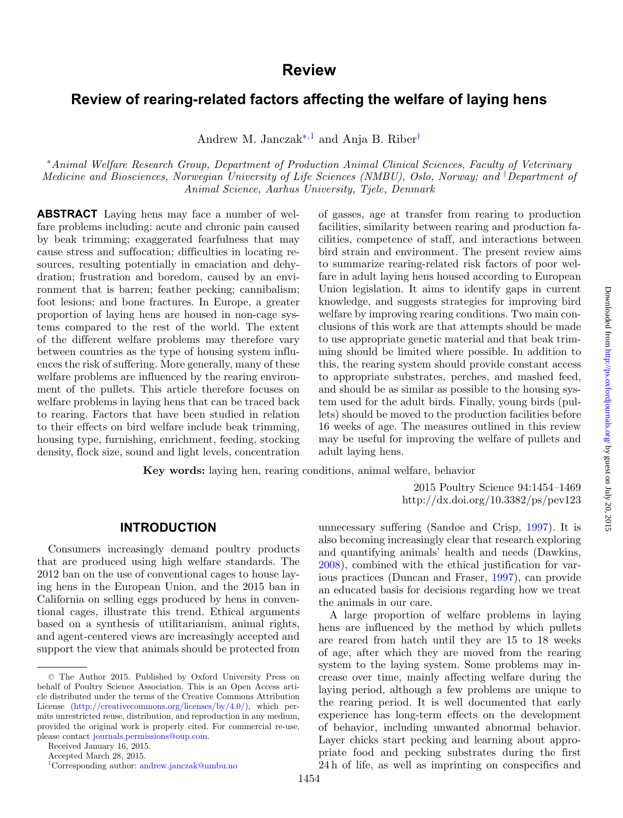# **Review**

# **Review of rearing-related factors affecting the welfare of laying hens**

Andrew M. Janczak<sup>\*[,1](#page-0-1)</sup> and Anja B. Riber<sup>[†](#page-0-2)</sup>

<span id="page-0-0"></span><sup>∗</sup>*Animal Welfare Research Group, Department of Production Animal Clinical Sciences, Faculty of Veterinary Medicine and Biosciences, Norwegian University of Life Sciences (NMBU), Oslo, Norway; and* † *Department of Animal Science, Aarhus University, Tjele, Denmark*

**ABSTRACT** Laying hens may face a number of welfare problems including: acute and chronic pain caused by beak trimming; exaggerated fearfulness that may cause stress and suffocation; difficulties in locating resources, resulting potentially in emaciation and dehydration; frustration and boredom, caused by an environment that is barren; feather pecking; cannibalism; foot lesions; and bone fractures. In Europe, a greater proportion of laying hens are housed in non-cage systems compared to the rest of the world. The extent of the different welfare problems may therefore vary between countries as the type of housing system influences the risk of suffering. More generally, many of these welfare problems are influenced by the rearing environment of the pullets. This article therefore focuses on welfare problems in laying hens that can be traced back to rearing. Factors that have been studied in relation to their effects on bird welfare include beak trimming, housing type, furnishing, enrichment, feeding, stocking density, flock size, sound and light levels, concentration <span id="page-0-2"></span>of gasses, age at transfer from rearing to production facilities, similarity between rearing and production facilities, competence of staff, and interactions between bird strain and environment. The present review aims to summarize rearing-related risk factors of poor welfare in adult laying hens housed according to European Union legislation. It aims to identify gaps in current knowledge, and suggests strategies for improving bird welfare by improving rearing conditions. Two main conclusions of this work are that attempts should be made to use appropriate genetic material and that beak trimming should be limited where possible. In addition to this, the rearing system should provide constant access to appropriate substrates, perches, and mashed feed, and should be as similar as possible to the housing system used for the adult birds. Finally, young birds (pullets) should be moved to the production facilities before 16 weeks of age. The measures outlined in this review may be useful for improving the welfare of pullets and adult laying hens.

**Key words:** laying hen, rearing conditions, animal welfare, behavior

2015 Poultry Science 94:1454–1469 http://dx.doi.org/10.3382/ps/pev123

#### **INTRODUCTION**

Consumers increasingly demand poultry products that are produced using high welfare standards. The 2012 ban on the use of conventional cages to house laying hens in the European Union, and the 2015 ban in California on selling eggs produced by hens in conventional cages, illustrate this trend. Ethical arguments based on a synthesis of utilitarianism, animal rights, and agent-centered views are increasingly accepted and support the view that animals should be protected from

Received January 16, 2015.

unnecessary suffering (Sandøe and Crisp, [1997\)](#page-14-0). It is also becoming increasingly clear that research exploring and quantifying animals' health and needs (Dawkins, [2008\)](#page-12-0), combined with the ethical justification for various practices (Duncan and Fraser, [1997\)](#page-12-1), can provide an educated basis for decisions regarding how we treat the animals in our care.

A large proportion of welfare problems in laying hens are influenced by the method by which pullets are reared from hatch until they are 15 to 18 weeks of age, after which they are moved from the rearing system to the laying system. Some problems may increase over time, mainly affecting welfare during the laying period, although a few problems are unique to the rearing period. It is well documented that early experience has long-term effects on the development of behavior, including unwanted abnormal behavior. Layer chicks start pecking and learning about appropriate food and pecking substrates during the first 24 h of life, as well as imprinting on conspecifics and

<sup>-</sup><sup>C</sup> The Author 2015. Published by Oxford University Press on behalf of Poultry Science Association. This is an Open Access article distributed under the terms of the Creative Commons Attribution License [\(http://creativecommons.org/licenses/by/4.0/\)](http://creativecommons.org/licenses/by/4.0/), which permits unrestricted reuse, distribution, and reproduction in any medium, provided the original work is properly cited. For commercial re-use, please contact [journals.permissions@oup.com.](mailto:journals.permissions@oup.com)

Accepted March 28, 2015.

<span id="page-0-1"></span><sup>1</sup>Corresponding author: [andrew.janczak@nmbu.no](mailto:andrew.janczak@nmbu.no)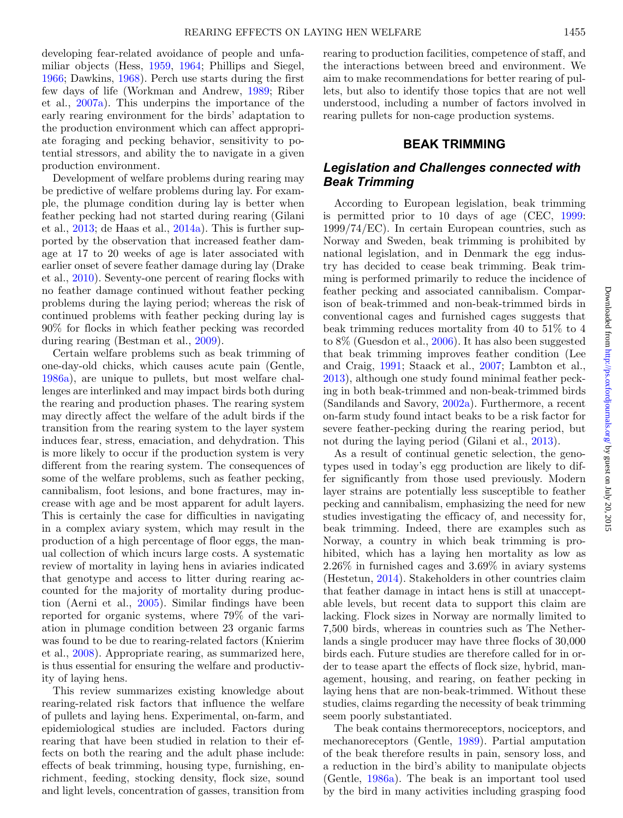developing fear-related avoidance of people and unfamiliar objects (Hess, [1959,](#page-13-0) [1964;](#page-13-1) Phillips and Siegel, [1966;](#page-14-1) Dawkins, [1968\)](#page-12-2). Perch use starts during the first few days of life (Workman and Andrew, [1989;](#page-14-2) Riber et al., [2007a\)](#page-14-3). This underpins the importance of the early rearing environment for the birds' adaptation to the production environment which can affect appropriate foraging and pecking behavior, sensitivity to potential stressors, and ability the to navigate in a given production environment.

Development of welfare problems during rearing may be predictive of welfare problems during lay. For example, the plumage condition during lay is better when feather pecking had not started during rearing (Gilani et al., [2013;](#page-12-3) de Haas et al., [2014a\)](#page-12-4). This is further supported by the observation that increased feather damage at 17 to 20 weeks of age is later associated with earlier onset of severe feather damage during lay (Drake et al., [2010\)](#page-12-5). Seventy-one percent of rearing flocks with no feather damage continued without feather pecking problems during the laying period; whereas the risk of continued problems with feather pecking during lay is 90% for flocks in which feather pecking was recorded during rearing (Bestman et al., [2009\)](#page-11-0).

Certain welfare problems such as beak trimming of one-day-old chicks, which causes acute pain (Gentle, [1986a\)](#page-12-6), are unique to pullets, but most welfare challenges are interlinked and may impact birds both during the rearing and production phases. The rearing system may directly affect the welfare of the adult birds if the transition from the rearing system to the layer system induces fear, stress, emaciation, and dehydration. This is more likely to occur if the production system is very different from the rearing system. The consequences of some of the welfare problems, such as feather pecking, cannibalism, foot lesions, and bone fractures, may increase with age and be most apparent for adult layers. This is certainly the case for difficulties in navigating in a complex aviary system, which may result in the production of a high percentage of floor eggs, the manual collection of which incurs large costs. A systematic review of mortality in laying hens in aviaries indicated that genotype and access to litter during rearing accounted for the majority of mortality during production (Aerni et al., [2005\)](#page-11-1). Similar findings have been reported for organic systems, where 79% of the variation in plumage condition between 23 organic farms was found to be due to rearing-related factors (Knierim et al., [2008\)](#page-13-2). Appropriate rearing, as summarized here, is thus essential for ensuring the welfare and productivity of laying hens.

This review summarizes existing knowledge about rearing-related risk factors that influence the welfare of pullets and laying hens. Experimental, on-farm, and epidemiological studies are included. Factors during rearing that have been studied in relation to their effects on both the rearing and the adult phase include: effects of beak trimming, housing type, furnishing, enrichment, feeding, stocking density, flock size, sound and light levels, concentration of gasses, transition from

rearing to production facilities, competence of staff, and the interactions between breed and environment. We aim to make recommendations for better rearing of pullets, but also to identify those topics that are not well understood, including a number of factors involved in rearing pullets for non-cage production systems.

## **BEAK TRIMMING**

## *Legislation and Challenges connected with Beak Trimming*

According to European legislation, beak trimming is permitted prior to 10 days of age (CEC, [1999:](#page-12-7) 1999/74/EC). In certain European countries, such as Norway and Sweden, beak trimming is prohibited by national legislation, and in Denmark the egg industry has decided to cease beak trimming. Beak trimming is performed primarily to reduce the incidence of feather pecking and associated cannibalism. Comparison of beak-trimmed and non-beak-trimmed birds in conventional cages and furnished cages suggests that beak trimming reduces mortality from 40 to 51% to 4 to 8% (Guesdon et al., [2006\)](#page-12-8). It has also been suggested that beak trimming improves feather condition (Lee and Craig, [1991;](#page-13-3) Staack et al., [2007;](#page-14-4) Lambton et al., [2013\)](#page-13-4), although one study found minimal feather pecking in both beak-trimmed and non-beak-trimmed birds (Sandilands and Savory, [2002a\)](#page-14-5). Furthermore, a recent on-farm study found intact beaks to be a risk factor for severe feather-pecking during the rearing period, but not during the laying period (Gilani et al., [2013\)](#page-12-3).

As a result of continual genetic selection, the genotypes used in today's egg production are likely to differ significantly from those used previously. Modern layer strains are potentially less susceptible to feather pecking and cannibalism, emphasizing the need for new studies investigating the efficacy of, and necessity for, beak trimming. Indeed, there are examples such as Norway, a country in which beak trimming is prohibited, which has a laying hen mortality as low as 2.26% in furnished cages and 3.69% in aviary systems (Hestetun, [2014\)](#page-13-5). Stakeholders in other countries claim that feather damage in intact hens is still at unacceptable levels, but recent data to support this claim are lacking. Flock sizes in Norway are normally limited to 7,500 birds, whereas in countries such as The Netherlands a single producer may have three flocks of 30,000 birds each. Future studies are therefore called for in order to tease apart the effects of flock size, hybrid, management, housing, and rearing, on feather pecking in laying hens that are non-beak-trimmed. Without these studies, claims regarding the necessity of beak trimming seem poorly substantiated.

The beak contains thermoreceptors, nociceptors, and mechanoreceptors (Gentle, [1989\)](#page-12-9). Partial amputation of the beak therefore results in pain, sensory loss, and a reduction in the bird's ability to manipulate objects (Gentle, [1986a\)](#page-12-6). The beak is an important tool used by the bird in many activities including grasping food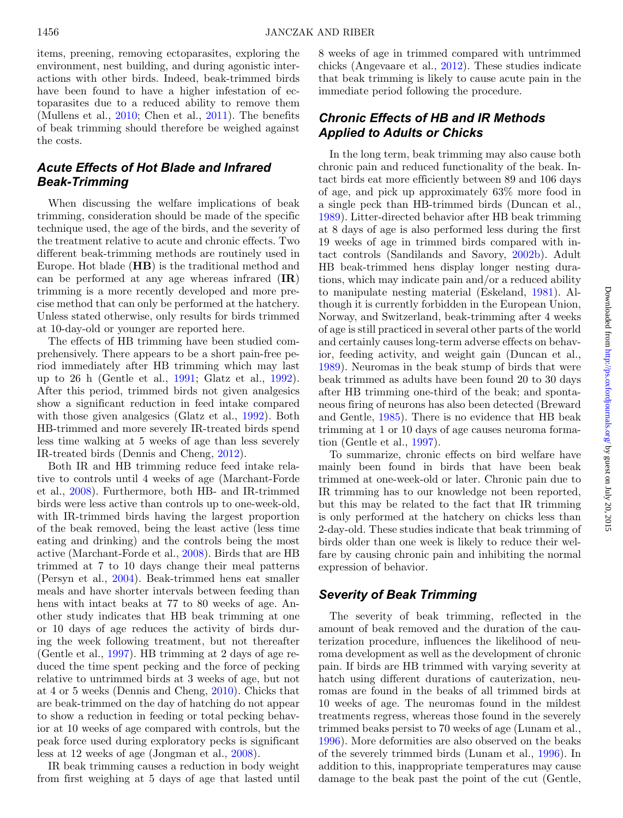items, preening, removing ectoparasites, exploring the environment, nest building, and during agonistic interactions with other birds. Indeed, beak-trimmed birds have been found to have a higher infestation of ectoparasites due to a reduced ability to remove them (Mullens et al., [2010;](#page-13-6) Chen et al., [2011\)](#page-12-10). The benefits of beak trimming should therefore be weighed against the costs.

## *Acute Effects of Hot Blade and Infrared Beak-Trimming*

When discussing the welfare implications of beak trimming, consideration should be made of the specific technique used, the age of the birds, and the severity of the treatment relative to acute and chronic effects. Two different beak-trimming methods are routinely used in Europe. Hot blade (**HB**) is the traditional method and can be performed at any age whereas infrared (**IR**) trimming is a more recently developed and more precise method that can only be performed at the hatchery. Unless stated otherwise, only results for birds trimmed at 10-day-old or younger are reported here.

The effects of HB trimming have been studied comprehensively. There appears to be a short pain-free period immediately after HB trimming which may last up to 26 h (Gentle et al., [1991;](#page-12-11) Glatz et al., [1992\)](#page-12-12). After this period, trimmed birds not given analgesics show a significant reduction in feed intake compared with those given analgesics (Glatz et al., [1992\)](#page-12-12). Both HB-trimmed and more severely IR-treated birds spend less time walking at 5 weeks of age than less severely IR-treated birds (Dennis and Cheng, [2012\)](#page-12-13).

Both IR and HB trimming reduce feed intake relative to controls until 4 weeks of age (Marchant-Forde et al., [2008\)](#page-13-7). Furthermore, both HB- and IR-trimmed birds were less active than controls up to one-week-old, with IR-trimmed birds having the largest proportion of the beak removed, being the least active (less time eating and drinking) and the controls being the most active (Marchant-Forde et al., [2008\)](#page-13-7). Birds that are HB trimmed at 7 to 10 days change their meal patterns (Persyn et al., [2004\)](#page-14-6). Beak-trimmed hens eat smaller meals and have shorter intervals between feeding than hens with intact beaks at 77 to 80 weeks of age. Another study indicates that HB beak trimming at one or 10 days of age reduces the activity of birds during the week following treatment, but not thereafter (Gentle et al., [1997\)](#page-12-14). HB trimming at 2 days of age reduced the time spent pecking and the force of pecking relative to untrimmed birds at 3 weeks of age, but not at 4 or 5 weeks (Dennis and Cheng, [2010\)](#page-12-15). Chicks that are beak-trimmed on the day of hatching do not appear to show a reduction in feeding or total pecking behavior at 10 weeks of age compared with controls, but the peak force used during exploratory pecks is significant less at 12 weeks of age (Jongman et al., [2008\)](#page-13-8).

IR beak trimming causes a reduction in body weight from first weighing at 5 days of age that lasted until

8 weeks of age in trimmed compared with untrimmed chicks (Angevaare et al., [2012\)](#page-11-2). These studies indicate that beak trimming is likely to cause acute pain in the immediate period following the procedure.

## *Chronic Effects of HB and IR Methods Applied to Adults or Chicks*

In the long term, beak trimming may also cause both chronic pain and reduced functionality of the beak. Intact birds eat more efficiently between 89 and 106 days of age, and pick up approximately 63% more food in a single peck than HB-trimmed birds (Duncan et al., [1989\)](#page-12-16). Litter-directed behavior after HB beak trimming at 8 days of age is also performed less during the first 19 weeks of age in trimmed birds compared with intact controls (Sandilands and Savory, [2002b\)](#page-14-7). Adult HB beak-trimmed hens display longer nesting durations, which may indicate pain and/or a reduced ability to manipulate nesting material (Eskeland, [1981\)](#page-12-17). Although it is currently forbidden in the European Union, Norway, and Switzerland, beak-trimming after 4 weeks of age is still practiced in several other parts of the world and certainly causes long-term adverse effects on behavior, feeding activity, and weight gain (Duncan et al., [1989\)](#page-12-16). Neuromas in the beak stump of birds that were beak trimmed as adults have been found 20 to 30 days after HB trimming one-third of the beak; and spontaneous firing of neurons has also been detected (Breward and Gentle, [1985\)](#page-12-18). There is no evidence that HB beak trimming at 1 or 10 days of age causes neuroma formation (Gentle et al., [1997\)](#page-12-14).

To summarize, chronic effects on bird welfare have mainly been found in birds that have been beak trimmed at one-week-old or later. Chronic pain due to IR trimming has to our knowledge not been reported, but this may be related to the fact that IR trimming is only performed at the hatchery on chicks less than 2-day-old. These studies indicate that beak trimming of birds older than one week is likely to reduce their welfare by causing chronic pain and inhibiting the normal expression of behavior.

#### *Severity of Beak Trimming*

The severity of beak trimming, reflected in the amount of beak removed and the duration of the cauterization procedure, influences the likelihood of neuroma development as well as the development of chronic pain. If birds are HB trimmed with varying severity at hatch using different durations of cauterization, neuromas are found in the beaks of all trimmed birds at 10 weeks of age. The neuromas found in the mildest treatments regress, whereas those found in the severely trimmed beaks persist to 70 weeks of age (Lunam et al., [1996\)](#page-13-9). More deformities are also observed on the beaks of the severely trimmed birds (Lunam et al., [1996\)](#page-13-9). In addition to this, inappropriate temperatures may cause damage to the beak past the point of the cut (Gentle,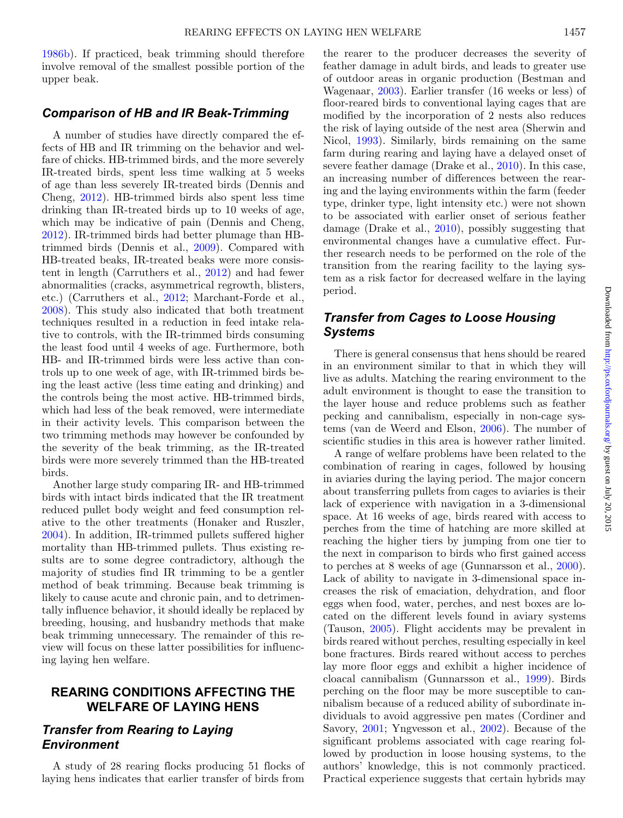[1986b\)](#page-12-19). If practiced, beak trimming should therefore involve removal of the smallest possible portion of the upper beak.

#### *Comparison of HB and IR Beak-Trimming*

A number of studies have directly compared the effects of HB and IR trimming on the behavior and welfare of chicks. HB-trimmed birds, and the more severely IR-treated birds, spent less time walking at 5 weeks of age than less severely IR-treated birds (Dennis and Cheng, [2012\)](#page-12-13). HB-trimmed birds also spent less time drinking than IR-treated birds up to 10 weeks of age, which may be indicative of pain (Dennis and Cheng, [2012\)](#page-12-13). IR-trimmed birds had better plumage than HBtrimmed birds (Dennis et al., [2009\)](#page-12-20). Compared with HB-treated beaks, IR-treated beaks were more consistent in length (Carruthers et al., [2012\)](#page-12-21) and had fewer abnormalities (cracks, asymmetrical regrowth, blisters, etc.) (Carruthers et al., [2012;](#page-12-21) Marchant-Forde et al., [2008\)](#page-13-7). This study also indicated that both treatment techniques resulted in a reduction in feed intake relative to controls, with the IR-trimmed birds consuming the least food until 4 weeks of age. Furthermore, both HB- and IR-trimmed birds were less active than controls up to one week of age, with IR-trimmed birds being the least active (less time eating and drinking) and the controls being the most active. HB-trimmed birds, which had less of the beak removed, were intermediate in their activity levels. This comparison between the two trimming methods may however be confounded by the severity of the beak trimming, as the IR-treated birds were more severely trimmed than the HB-treated birds.

Another large study comparing IR- and HB-trimmed birds with intact birds indicated that the IR treatment reduced pullet body weight and feed consumption relative to the other treatments (Honaker and Ruszler, [2004\)](#page-13-10). In addition, IR-trimmed pullets suffered higher mortality than HB-trimmed pullets. Thus existing results are to some degree contradictory, although the majority of studies find IR trimming to be a gentler method of beak trimming. Because beak trimming is likely to cause acute and chronic pain, and to detrimentally influence behavior, it should ideally be replaced by breeding, housing, and husbandry methods that make beak trimming unnecessary. The remainder of this review will focus on these latter possibilities for influencing laying hen welfare.

## **REARING CONDITIONS AFFECTING THE WELFARE OF LAYING HENS**

## *Transfer from Rearing to Laying Environment*

A study of 28 rearing flocks producing 51 flocks of laying hens indicates that earlier transfer of birds from

the rearer to the producer decreases the severity of feather damage in adult birds, and leads to greater use of outdoor areas in organic production (Bestman and Wagenaar, [2003\)](#page-11-3). Earlier transfer (16 weeks or less) of floor-reared birds to conventional laying cages that are modified by the incorporation of 2 nests also reduces the risk of laying outside of the nest area (Sherwin and Nicol, [1993\)](#page-14-8). Similarly, birds remaining on the same farm during rearing and laying have a delayed onset of severe feather damage (Drake et al., [2010\)](#page-12-5). In this case, an increasing number of differences between the rearing and the laying environments within the farm (feeder type, drinker type, light intensity etc.) were not shown to be associated with earlier onset of serious feather damage (Drake et al., [2010\)](#page-12-5), possibly suggesting that environmental changes have a cumulative effect. Further research needs to be performed on the role of the transition from the rearing facility to the laying system as a risk factor for decreased welfare in the laying period.

## *Transfer from Cages to Loose Housing Systems*

There is general consensus that hens should be reared in an environment similar to that in which they will live as adults. Matching the rearing environment to the adult environment is thought to ease the transition to the layer house and reduce problems such as feather pecking and cannibalism, especially in non-cage systems (van de Weerd and Elson, [2006\)](#page-14-9). The number of scientific studies in this area is however rather limited.

A range of welfare problems have been related to the combination of rearing in cages, followed by housing in aviaries during the laying period. The major concern about transferring pullets from cages to aviaries is their lack of experience with navigation in a 3-dimensional space. At 16 weeks of age, birds reared with access to perches from the time of hatching are more skilled at reaching the higher tiers by jumping from one tier to the next in comparison to birds who first gained access to perches at 8 weeks of age (Gunnarsson et al., [2000\)](#page-12-22). Lack of ability to navigate in 3-dimensional space increases the risk of emaciation, dehydration, and floor eggs when food, water, perches, and nest boxes are located on the different levels found in aviary systems (Tauson, [2005\)](#page-14-10). Flight accidents may be prevalent in birds reared without perches, resulting especially in keel bone fractures. Birds reared without access to perches lay more floor eggs and exhibit a higher incidence of cloacal cannibalism (Gunnarsson et al., [1999\)](#page-12-23). Birds perching on the floor may be more susceptible to cannibalism because of a reduced ability of subordinate individuals to avoid aggressive pen mates (Cordiner and Savory, [2001;](#page-12-24) Yngvesson et al., [2002\)](#page-15-0). Because of the significant problems associated with cage rearing followed by production in loose housing systems, to the authors' knowledge, this is not commonly practiced. Practical experience suggests that certain hybrids may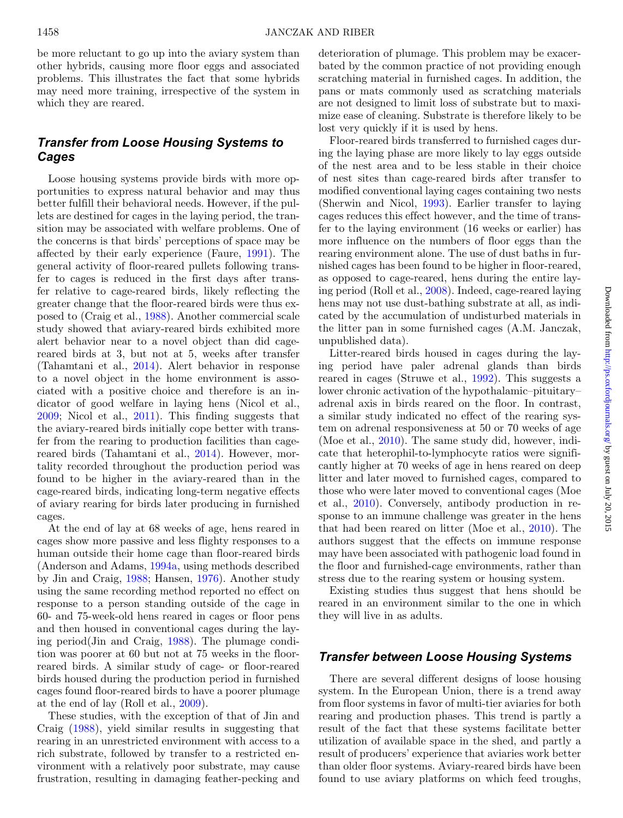be more reluctant to go up into the aviary system than other hybrids, causing more floor eggs and associated problems. This illustrates the fact that some hybrids may need more training, irrespective of the system in which they are reared.

## *Transfer from Loose Housing Systems to Cages*

Loose housing systems provide birds with more opportunities to express natural behavior and may thus better fulfill their behavioral needs. However, if the pullets are destined for cages in the laying period, the transition may be associated with welfare problems. One of the concerns is that birds' perceptions of space may be affected by their early experience (Faure, [1991\)](#page-12-25). The general activity of floor-reared pullets following transfer to cages is reduced in the first days after transfer relative to cage-reared birds, likely reflecting the greater change that the floor-reared birds were thus exposed to (Craig et al., [1988\)](#page-12-26). Another commercial scale study showed that aviary-reared birds exhibited more alert behavior near to a novel object than did cagereared birds at 3, but not at 5, weeks after transfer (Tahamtani et al., [2014\)](#page-14-11). Alert behavior in response to a novel object in the home environment is associated with a positive choice and therefore is an indicator of good welfare in laying hens (Nicol et al., [2009;](#page-14-12) Nicol et al., [2011\)](#page-14-13). This finding suggests that the aviary-reared birds initially cope better with transfer from the rearing to production facilities than cagereared birds (Tahamtani et al., [2014\)](#page-14-11). However, mortality recorded throughout the production period was found to be higher in the aviary-reared than in the cage-reared birds, indicating long-term negative effects of aviary rearing for birds later producing in furnished cages.

At the end of lay at 68 weeks of age, hens reared in cages show more passive and less flighty responses to a human outside their home cage than floor-reared birds (Anderson and Adams, [1994a,](#page-11-4) using methods described by Jin and Craig, [1988;](#page-13-11) Hansen, [1976\)](#page-12-27). Another study using the same recording method reported no effect on response to a person standing outside of the cage in 60- and 75-week-old hens reared in cages or floor pens and then housed in conventional cages during the laying period(Jin and Craig, [1988\)](#page-13-11). The plumage condition was poorer at 60 but not at 75 weeks in the floorreared birds. A similar study of cage- or floor-reared birds housed during the production period in furnished cages found floor-reared birds to have a poorer plumage at the end of lay (Roll et al., [2009\)](#page-14-14).

These studies, with the exception of that of Jin and Craig [\(1988\)](#page-13-11), yield similar results in suggesting that rearing in an unrestricted environment with access to a rich substrate, followed by transfer to a restricted environment with a relatively poor substrate, may cause frustration, resulting in damaging feather-pecking and deterioration of plumage. This problem may be exacerbated by the common practice of not providing enough scratching material in furnished cages. In addition, the pans or mats commonly used as scratching materials are not designed to limit loss of substrate but to maximize ease of cleaning. Substrate is therefore likely to be lost very quickly if it is used by hens.

Floor-reared birds transferred to furnished cages during the laying phase are more likely to lay eggs outside of the nest area and to be less stable in their choice of nest sites than cage-reared birds after transfer to modified conventional laying cages containing two nests (Sherwin and Nicol, [1993\)](#page-14-8). Earlier transfer to laying cages reduces this effect however, and the time of transfer to the laying environment (16 weeks or earlier) has more influence on the numbers of floor eggs than the rearing environment alone. The use of dust baths in furnished cages has been found to be higher in floor-reared, as opposed to cage-reared, hens during the entire laying period (Roll et al., [2008\)](#page-14-15). Indeed, cage-reared laying hens may not use dust-bathing substrate at all, as indicated by the accumulation of undisturbed materials in the litter pan in some furnished cages (A.M. Janczak, unpublished data).

Litter-reared birds housed in cages during the laying period have paler adrenal glands than birds reared in cages (Struwe et al., [1992\)](#page-14-16). This suggests a lower chronic activation of the hypothalamic–pituitary– adrenal axis in birds reared on the floor. In contrast, a similar study indicated no effect of the rearing system on adrenal responsiveness at 50 or 70 weeks of age (Moe et al., [2010\)](#page-13-12). The same study did, however, indicate that heterophil-to-lymphocyte ratios were significantly higher at 70 weeks of age in hens reared on deep litter and later moved to furnished cages, compared to those who were later moved to conventional cages (Moe et al., [2010\)](#page-13-12). Conversely, antibody production in response to an immune challenge was greater in the hens that had been reared on litter (Moe et al., [2010\)](#page-13-12). The authors suggest that the effects on immune response may have been associated with pathogenic load found in the floor and furnished-cage environments, rather than stress due to the rearing system or housing system.

Existing studies thus suggest that hens should be reared in an environment similar to the one in which they will live in as adults.

#### *Transfer between Loose Housing Systems*

There are several different designs of loose housing system. In the European Union, there is a trend away from floor systems in favor of multi-tier aviaries for both rearing and production phases. This trend is partly a result of the fact that these systems facilitate better utilization of available space in the shed, and partly a result of producers' experience that aviaries work better than older floor systems. Aviary-reared birds have been found to use aviary platforms on which feed troughs,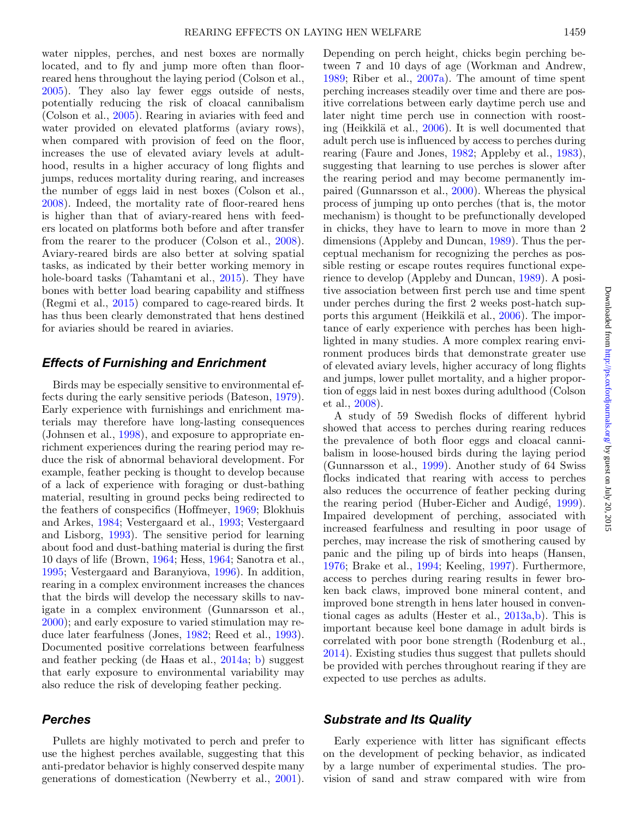water nipples, perches, and nest boxes are normally located, and to fly and jump more often than floorreared hens throughout the laying period (Colson et al., [2005\)](#page-12-28). They also lay fewer eggs outside of nests, potentially reducing the risk of cloacal cannibalism (Colson et al., [2005\)](#page-12-28). Rearing in aviaries with feed and water provided on elevated platforms (aviary rows), when compared with provision of feed on the floor, increases the use of elevated aviary levels at adulthood, results in a higher accuracy of long flights and jumps, reduces mortality during rearing, and increases the number of eggs laid in nest boxes (Colson et al., [2008\)](#page-12-29). Indeed, the mortality rate of floor-reared hens is higher than that of aviary-reared hens with feeders located on platforms both before and after transfer from the rearer to the producer (Colson et al., [2008\)](#page-12-29). Aviary-reared birds are also better at solving spatial tasks, as indicated by their better working memory in hole-board tasks (Tahamtani et al., [2015\)](#page-14-17). They have bones with better load bearing capability and stiffness (Regmi et al., [2015\)](#page-14-18) compared to cage-reared birds. It has thus been clearly demonstrated that hens destined for aviaries should be reared in aviaries.

#### *Effects of Furnishing and Enrichment*

Birds may be especially sensitive to environmental effects during the early sensitive periods (Bateson, [1979\)](#page-11-5). Early experience with furnishings and enrichment materials may therefore have long-lasting consequences (Johnsen et al., [1998\)](#page-13-13), and exposure to appropriate enrichment experiences during the rearing period may reduce the risk of abnormal behavioral development. For example, feather pecking is thought to develop because of a lack of experience with foraging or dust-bathing material, resulting in ground pecks being redirected to the feathers of conspecifics (Hoffmeyer, [1969;](#page-13-14) Blokhuis and Arkes, [1984;](#page-11-6) Vestergaard et al., [1993;](#page-14-19) Vestergaard and Lisborg, [1993\)](#page-14-20). The sensitive period for learning about food and dust-bathing material is during the first 10 days of life (Brown, [1964;](#page-12-30) Hess, [1964;](#page-13-1) Sanotra et al., [1995;](#page-14-21) Vestergaard and Baranyiova, [1996\)](#page-14-22). In addition, rearing in a complex environment increases the chances that the birds will develop the necessary skills to navigate in a complex environment (Gunnarsson et al., [2000\)](#page-12-22); and early exposure to varied stimulation may reduce later fearfulness (Jones, [1982;](#page-13-15) Reed et al., [1993\)](#page-14-23). Documented positive correlations between fearfulness and feather pecking (de Haas et al., [2014a;](#page-12-4) [b\)](#page-12-31) suggest that early exposure to environmental variability may also reduce the risk of developing feather pecking.

#### *Perches*

Pullets are highly motivated to perch and prefer to use the highest perches available, suggesting that this anti-predator behavior is highly conserved despite many generations of domestication (Newberry et al., [2001\)](#page-14-24). Depending on perch height, chicks begin perching between 7 and 10 days of age (Workman and Andrew, [1989;](#page-14-2) Riber et al., [2007a\)](#page-14-3). The amount of time spent perching increases steadily over time and there are positive correlations between early daytime perch use and later night time perch use in connection with roost-ing (Heikkilä et al., [2006\)](#page-13-16). It is well documented that adult perch use is influenced by access to perches during rearing (Faure and Jones, [1982;](#page-12-32) Appleby et al., [1983\)](#page-11-7), suggesting that learning to use perches is slower after the rearing period and may become permanently impaired (Gunnarsson et al., [2000\)](#page-12-22). Whereas the physical process of jumping up onto perches (that is, the motor mechanism) is thought to be prefunctionally developed in chicks, they have to learn to move in more than 2 dimensions (Appleby and Duncan, [1989\)](#page-11-8). Thus the perceptual mechanism for recognizing the perches as possible resting or escape routes requires functional experience to develop (Appleby and Duncan, [1989\)](#page-11-8). A positive association between first perch use and time spent under perches during the first 2 weeks post-hatch sup-ports this argument (Heikkilä et al., [2006\)](#page-13-16). The importance of early experience with perches has been highlighted in many studies. A more complex rearing environment produces birds that demonstrate greater use of elevated aviary levels, higher accuracy of long flights and jumps, lower pullet mortality, and a higher proportion of eggs laid in nest boxes during adulthood (Colson et al., [2008\)](#page-12-29).

A study of 59 Swedish flocks of different hybrid showed that access to perches during rearing reduces the prevalence of both floor eggs and cloacal cannibalism in loose-housed birds during the laying period (Gunnarsson et al., [1999\)](#page-12-23). Another study of 64 Swiss flocks indicated that rearing with access to perches also reduces the occurrence of feather pecking during the rearing period (Huber-Eicher and Audigé, [1999\)](#page-13-17). Impaired development of perching, associated with increased fearfulness and resulting in poor usage of perches, may increase the risk of smothering caused by panic and the piling up of birds into heaps (Hansen, [1976;](#page-12-27) Brake et al., [1994;](#page-11-9) Keeling, [1997\)](#page-13-18). Furthermore, access to perches during rearing results in fewer broken back claws, improved bone mineral content, and improved bone strength in hens later housed in conventional cages as adults (Hester et al., [2013a](#page-13-19)[,b\)](#page-13-20). This is important because keel bone damage in adult birds is correlated with poor bone strength (Rodenburg et al., [2014\)](#page-14-25). Existing studies thus suggest that pullets should be provided with perches throughout rearing if they are expected to use perches as adults.

#### *Substrate and Its Quality*

Early experience with litter has significant effects on the development of pecking behavior, as indicated by a large number of experimental studies. The provision of sand and straw compared with wire from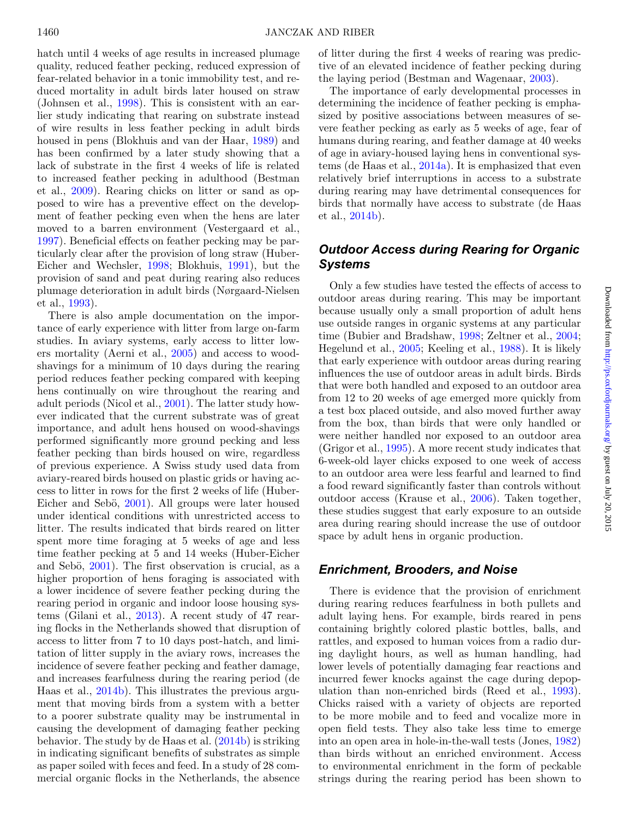hatch until 4 weeks of age results in increased plumage quality, reduced feather pecking, reduced expression of fear-related behavior in a tonic immobility test, and reduced mortality in adult birds later housed on straw (Johnsen et al., [1998\)](#page-13-13). This is consistent with an earlier study indicating that rearing on substrate instead of wire results in less feather pecking in adult birds housed in pens (Blokhuis and van der Haar, [1989\)](#page-11-10) and has been confirmed by a later study showing that a lack of substrate in the first 4 weeks of life is related to increased feather pecking in adulthood (Bestman et al., [2009\)](#page-11-0). Rearing chicks on litter or sand as opposed to wire has a preventive effect on the development of feather pecking even when the hens are later moved to a barren environment (Vestergaard et al., [1997\)](#page-14-26). Beneficial effects on feather pecking may be particularly clear after the provision of long straw (Huber-Eicher and Wechsler, [1998;](#page-13-21) Blokhuis, [1991\)](#page-11-11), but the provision of sand and peat during rearing also reduces plumage deterioration in adult birds (Nørgaard-Nielsen et al., [1993\)](#page-14-27).

There is also ample documentation on the importance of early experience with litter from large on-farm studies. In aviary systems, early access to litter lowers mortality (Aerni et al., [2005\)](#page-11-1) and access to woodshavings for a minimum of 10 days during the rearing period reduces feather pecking compared with keeping hens continually on wire throughout the rearing and adult periods (Nicol et al., [2001\)](#page-14-28). The latter study however indicated that the current substrate was of great importance, and adult hens housed on wood-shavings performed significantly more ground pecking and less feather pecking than birds housed on wire, regardless of previous experience. A Swiss study used data from aviary-reared birds housed on plastic grids or having access to litter in rows for the first 2 weeks of life (Huber-Eicher and Sebö, [2001\)](#page-13-22). All groups were later housed under identical conditions with unrestricted access to litter. The results indicated that birds reared on litter spent more time foraging at 5 weeks of age and less time feather pecking at 5 and 14 weeks (Huber-Eicher and Sebö,  $2001$ ). The first observation is crucial, as a higher proportion of hens foraging is associated with a lower incidence of severe feather pecking during the rearing period in organic and indoor loose housing systems (Gilani et al., [2013\)](#page-12-3). A recent study of 47 rearing flocks in the Netherlands showed that disruption of access to litter from 7 to 10 days post-hatch, and limitation of litter supply in the aviary rows, increases the incidence of severe feather pecking and feather damage, and increases fearfulness during the rearing period (de Haas et al., [2014b\)](#page-12-31). This illustrates the previous argument that moving birds from a system with a better to a poorer substrate quality may be instrumental in causing the development of damaging feather pecking behavior. The study by de Haas et al. [\(2014b\)](#page-12-31) is striking in indicating significant benefits of substrates as simple as paper soiled with feces and feed. In a study of 28 commercial organic flocks in the Netherlands, the absence

of litter during the first 4 weeks of rearing was predictive of an elevated incidence of feather pecking during the laying period (Bestman and Wagenaar, [2003\)](#page-11-3).

The importance of early developmental processes in determining the incidence of feather pecking is emphasized by positive associations between measures of severe feather pecking as early as 5 weeks of age, fear of humans during rearing, and feather damage at 40 weeks of age in aviary-housed laying hens in conventional systems (de Haas et al., [2014a\)](#page-12-4). It is emphasized that even relatively brief interruptions in access to a substrate during rearing may have detrimental consequences for birds that normally have access to substrate (de Haas et al., [2014b\)](#page-12-31).

## *Outdoor Access during Rearing for Organic Systems*

Only a few studies have tested the effects of access to outdoor areas during rearing. This may be important because usually only a small proportion of adult hens use outside ranges in organic systems at any particular time (Bubier and Bradshaw, [1998;](#page-12-33) Zeltner et al., [2004;](#page-15-1) Hegelund et al., [2005;](#page-12-34) Keeling et al., [1988\)](#page-13-23). It is likely that early experience with outdoor areas during rearing influences the use of outdoor areas in adult birds. Birds that were both handled and exposed to an outdoor area from 12 to 20 weeks of age emerged more quickly from a test box placed outside, and also moved further away from the box, than birds that were only handled or were neither handled nor exposed to an outdoor area (Grigor et al., [1995\)](#page-12-35). A more recent study indicates that 6-week-old layer chicks exposed to one week of access to an outdoor area were less fearful and learned to find a food reward significantly faster than controls without outdoor access (Krause et al., [2006\)](#page-13-24). Taken together, these studies suggest that early exposure to an outside area during rearing should increase the use of outdoor space by adult hens in organic production.

#### *Enrichment, Brooders, and Noise*

There is evidence that the provision of enrichment during rearing reduces fearfulness in both pullets and adult laying hens. For example, birds reared in pens containing brightly colored plastic bottles, balls, and rattles, and exposed to human voices from a radio during daylight hours, as well as human handling, had lower levels of potentially damaging fear reactions and incurred fewer knocks against the cage during depopulation than non-enriched birds (Reed et al., [1993\)](#page-14-23). Chicks raised with a variety of objects are reported to be more mobile and to feed and vocalize more in open field tests. They also take less time to emerge into an open area in hole-in-the-wall tests (Jones, [1982\)](#page-13-15) than birds without an enriched environment. Access to environmental enrichment in the form of peckable strings during the rearing period has been shown to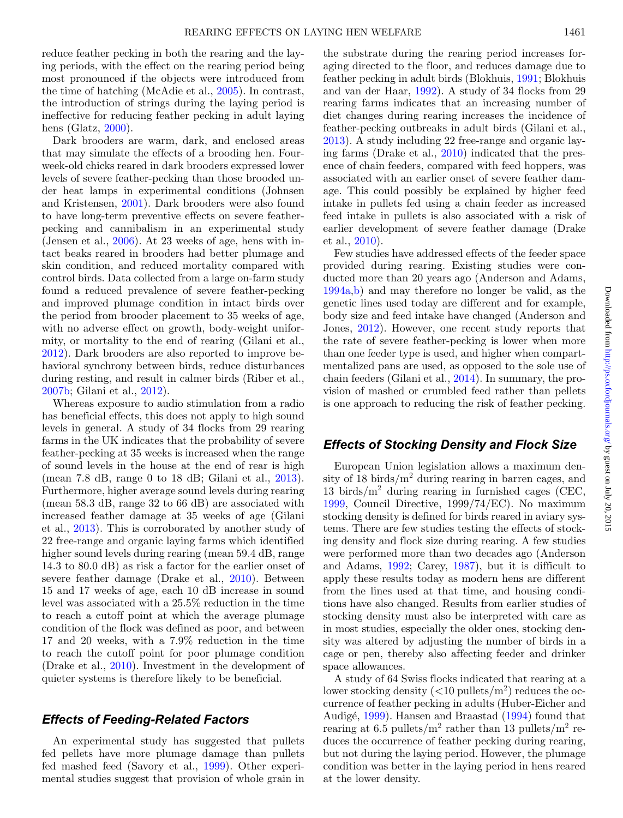reduce feather pecking in both the rearing and the laying periods, with the effect on the rearing period being most pronounced if the objects were introduced from the time of hatching (McAdie et al., [2005\)](#page-13-25). In contrast, the introduction of strings during the laying period is ineffective for reducing feather pecking in adult laying hens  $(Glatz, 2000)$  $(Glatz, 2000)$ .

Dark brooders are warm, dark, and enclosed areas that may simulate the effects of a brooding hen. Fourweek-old chicks reared in dark brooders expressed lower levels of severe feather-pecking than those brooded under heat lamps in experimental conditions (Johnsen and Kristensen, [2001\)](#page-13-26). Dark brooders were also found to have long-term preventive effects on severe featherpecking and cannibalism in an experimental study (Jensen et al., [2006\)](#page-13-27). At 23 weeks of age, hens with intact beaks reared in brooders had better plumage and skin condition, and reduced mortality compared with control birds. Data collected from a large on-farm study found a reduced prevalence of severe feather-pecking and improved plumage condition in intact birds over the period from brooder placement to 35 weeks of age, with no adverse effect on growth, body-weight uniformity, or mortality to the end of rearing (Gilani et al., [2012\)](#page-12-37). Dark brooders are also reported to improve behavioral synchrony between birds, reduce disturbances during resting, and result in calmer birds (Riber et al., [2007b;](#page-14-29) Gilani et al., [2012\)](#page-12-37).

Whereas exposure to audio stimulation from a radio has beneficial effects, this does not apply to high sound levels in general. A study of 34 flocks from 29 rearing farms in the UK indicates that the probability of severe feather-pecking at 35 weeks is increased when the range of sound levels in the house at the end of rear is high (mean 7.8 dB, range 0 to 18 dB; Gilani et al., [2013\)](#page-12-3). Furthermore, higher average sound levels during rearing (mean 58.3 dB, range 32 to 66 dB) are associated with increased feather damage at 35 weeks of age (Gilani et al., [2013\)](#page-12-3). This is corroborated by another study of 22 free-range and organic laying farms which identified higher sound levels during rearing (mean 59.4 dB, range 14.3 to 80.0 dB) as risk a factor for the earlier onset of severe feather damage (Drake et al., [2010\)](#page-12-5). Between 15 and 17 weeks of age, each 10 dB increase in sound level was associated with a 25.5% reduction in the time to reach a cutoff point at which the average plumage condition of the flock was defined as poor, and between 17 and 20 weeks, with a 7.9% reduction in the time to reach the cutoff point for poor plumage condition (Drake et al., [2010\)](#page-12-5). Investment in the development of quieter systems is therefore likely to be beneficial.

#### *Effects of Feeding-Related Factors*

An experimental study has suggested that pullets fed pellets have more plumage damage than pullets fed mashed feed (Savory et al., [1999\)](#page-14-30). Other experimental studies suggest that provision of whole grain in

the substrate during the rearing period increases foraging directed to the floor, and reduces damage due to feather pecking in adult birds (Blokhuis, [1991;](#page-11-11) Blokhuis and van der Haar, [1992\)](#page-11-12). A study of 34 flocks from 29 rearing farms indicates that an increasing number of diet changes during rearing increases the incidence of feather-pecking outbreaks in adult birds (Gilani et al., [2013\)](#page-12-3). A study including 22 free-range and organic laying farms (Drake et al., [2010\)](#page-12-5) indicated that the presence of chain feeders, compared with feed hoppers, was associated with an earlier onset of severe feather damage. This could possibly be explained by higher feed intake in pullets fed using a chain feeder as increased feed intake in pullets is also associated with a risk of earlier development of severe feather damage (Drake et al., [2010\)](#page-12-5).

Few studies have addressed effects of the feeder space provided during rearing. Existing studies were conducted more than 20 years ago (Anderson and Adams, [1994a](#page-11-4)[,b\)](#page-11-13) and may therefore no longer be valid, as the genetic lines used today are different and for example, body size and feed intake have changed (Anderson and Jones, [2012\)](#page-11-14). However, one recent study reports that the rate of severe feather-pecking is lower when more than one feeder type is used, and higher when compartmentalized pans are used, as opposed to the sole use of chain feeders (Gilani et al., [2014\)](#page-12-38). In summary, the provision of mashed or crumbled feed rather than pellets is one approach to reducing the risk of feather pecking.

#### *Effects of Stocking Density and Flock Size*

European Union legislation allows a maximum density of 18 birds/ $m<sup>2</sup>$  during rearing in barren cages, and 13 birds/ $m^2$  during rearing in furnished cages (CEC, [1999,](#page-12-7) Council Directive, 1999/74/EC). No maximum stocking density is defined for birds reared in aviary systems. There are few studies testing the effects of stocking density and flock size during rearing. A few studies were performed more than two decades ago (Anderson and Adams, [1992;](#page-11-15) Carey, [1987\)](#page-12-39), but it is difficult to apply these results today as modern hens are different from the lines used at that time, and housing conditions have also changed. Results from earlier studies of stocking density must also be interpreted with care as in most studies, especially the older ones, stocking density was altered by adjusting the number of birds in a cage or pen, thereby also affecting feeder and drinker space allowances.

A study of 64 Swiss flocks indicated that rearing at a lower stocking density  $(<10 \text{ pullets/m}^2$ ) reduces the occurrence of feather pecking in adults (Huber-Eicher and Audigé, [1999\)](#page-13-17). Hansen and Braastad [\(1994\)](#page-12-40) found that rearing at 6.5 pullets/ $m^2$  rather than 13 pullets/ $m^2$  reduces the occurrence of feather pecking during rearing, but not during the laying period. However, the plumage condition was better in the laying period in hens reared at the lower density.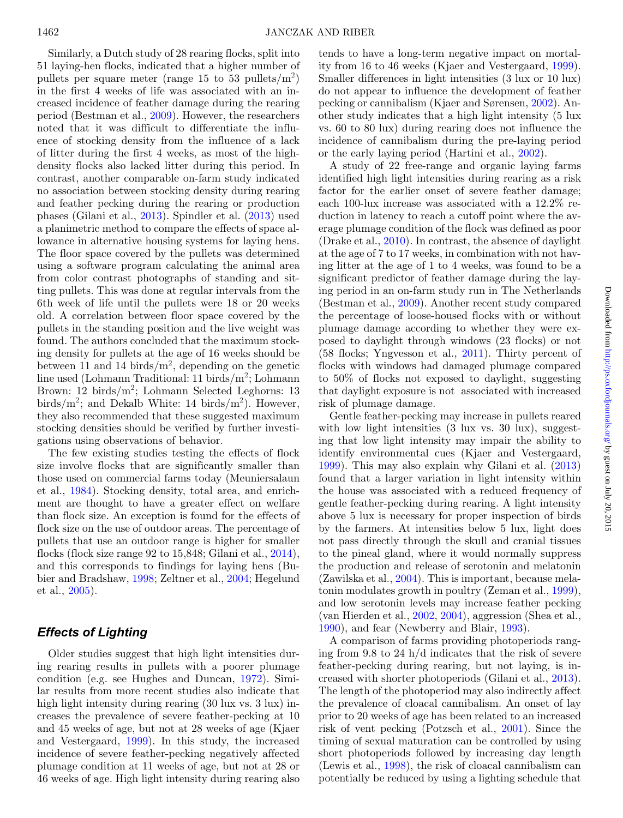Similarly, a Dutch study of 28 rearing flocks, split into 51 laying-hen flocks, indicated that a higher number of pullets per square meter (range 15 to 53 pullets/ $m^2$ ) in the first 4 weeks of life was associated with an increased incidence of feather damage during the rearing period (Bestman et al., [2009\)](#page-11-0). However, the researchers noted that it was difficult to differentiate the influence of stocking density from the influence of a lack of litter during the first 4 weeks, as most of the highdensity flocks also lacked litter during this period. In contrast, another comparable on-farm study indicated no association between stocking density during rearing and feather pecking during the rearing or production phases (Gilani et al., [2013\)](#page-12-3). Spindler et al. [\(2013\)](#page-14-31) used a planimetric method to compare the effects of space allowance in alternative housing systems for laying hens. The floor space covered by the pullets was determined using a software program calculating the animal area from color contrast photographs of standing and sitting pullets. This was done at regular intervals from the 6th week of life until the pullets were 18 or 20 weeks old. A correlation between floor space covered by the pullets in the standing position and the live weight was found. The authors concluded that the maximum stocking density for pullets at the age of 16 weeks should be between 11 and 14 birds/ $m^2$ , depending on the genetic line used (Lohmann Traditional: 11 birds/m2; Lohmann Brown: 12 birds/ $m^2$ ; Lohmann Selected Leghorns: 13 birds/m<sup>2</sup>; and Dekalb White: 14 birds/m<sup>2</sup>). However, they also recommended that these suggested maximum stocking densities should be verified by further investigations using observations of behavior.

The few existing studies testing the effects of flock size involve flocks that are significantly smaller than those used on commercial farms today (Meuniersalaun et al., [1984\)](#page-13-28). Stocking density, total area, and enrichment are thought to have a greater effect on welfare than flock size. An exception is found for the effects of flock size on the use of outdoor areas. The percentage of pullets that use an outdoor range is higher for smaller flocks (flock size range 92 to 15,848; Gilani et al., [2014\)](#page-12-38), and this corresponds to findings for laying hens (Bubier and Bradshaw, [1998;](#page-12-33) Zeltner et al., [2004;](#page-15-1) Hegelund et al., [2005\)](#page-12-34).

## *Effects of Lighting*

Older studies suggest that high light intensities during rearing results in pullets with a poorer plumage condition (e.g. see Hughes and Duncan, [1972\)](#page-13-29). Similar results from more recent studies also indicate that high light intensity during rearing (30 lux vs. 3 lux) increases the prevalence of severe feather-pecking at 10 and 45 weeks of age, but not at 28 weeks of age (Kjaer and Vestergaard, [1999\)](#page-13-30). In this study, the increased incidence of severe feather-pecking negatively affected plumage condition at 11 weeks of age, but not at 28 or 46 weeks of age. High light intensity during rearing also tends to have a long-term negative impact on mortality from 16 to 46 weeks (Kjaer and Vestergaard, [1999\)](#page-13-30). Smaller differences in light intensities (3 lux or 10 lux) do not appear to influence the development of feather pecking or cannibalism (Kjaer and Sørensen, [2002\)](#page-13-31). Another study indicates that a high light intensity (5 lux vs. 60 to 80 lux) during rearing does not influence the incidence of cannibalism during the pre-laying period or the early laying period (Hartini et al., [2002\)](#page-12-41).

A study of 22 free-range and organic laying farms identified high light intensities during rearing as a risk factor for the earlier onset of severe feather damage; each 100-lux increase was associated with a 12.2% reduction in latency to reach a cutoff point where the average plumage condition of the flock was defined as poor (Drake et al., [2010\)](#page-12-5). In contrast, the absence of daylight at the age of 7 to 17 weeks, in combination with not having litter at the age of 1 to 4 weeks, was found to be a significant predictor of feather damage during the laying period in an on-farm study run in The Netherlands (Bestman et al., [2009\)](#page-11-0). Another recent study compared the percentage of loose-housed flocks with or without plumage damage according to whether they were exposed to daylight through windows (23 flocks) or not (58 flocks; Yngvesson et al., [2011\)](#page-15-2). Thirty percent of flocks with windows had damaged plumage compared to 50% of flocks not exposed to daylight, suggesting that daylight exposure is not associated with increased risk of plumage damage.

Gentle feather-pecking may increase in pullets reared with low light intensities  $(3 \text{lux vs. } 30 \text{lux})$ , suggesting that low light intensity may impair the ability to identify environmental cues (Kjaer and Vestergaard, [1999\)](#page-13-30). This may also explain why Gilani et al. [\(2013\)](#page-12-3) found that a larger variation in light intensity within the house was associated with a reduced frequency of gentle feather-pecking during rearing. A light intensity above 5 lux is necessary for proper inspection of birds by the farmers. At intensities below 5 lux, light does not pass directly through the skull and cranial tissues to the pineal gland, where it would normally suppress the production and release of serotonin and melatonin (Zawilska et al., [2004\)](#page-15-3). This is important, because melatonin modulates growth in poultry (Zeman et al., [1999\)](#page-15-4), and low serotonin levels may increase feather pecking (van Hierden et al., [2002,](#page-14-32) [2004\)](#page-14-33), aggression (Shea et al., [1990\)](#page-14-34), and fear (Newberry and Blair, [1993\)](#page-14-35).

A comparison of farms providing photoperiods ranging from 9.8 to 24 h/d indicates that the risk of severe feather-pecking during rearing, but not laying, is increased with shorter photoperiods (Gilani et al., [2013\)](#page-12-3). The length of the photoperiod may also indirectly affect the prevalence of cloacal cannibalism. An onset of lay prior to 20 weeks of age has been related to an increased risk of vent pecking (Potzsch et al., [2001\)](#page-14-36). Since the timing of sexual maturation can be controlled by using short photoperiods followed by increasing day length (Lewis et al., [1998\)](#page-13-32), the risk of cloacal cannibalism can potentially be reduced by using a lighting schedule that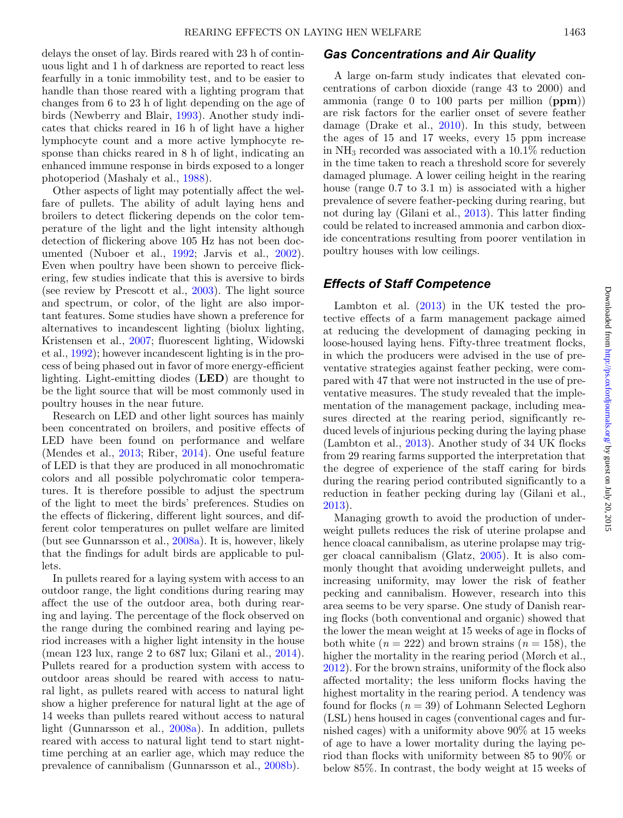delays the onset of lay. Birds reared with 23 h of continuous light and 1 h of darkness are reported to react less fearfully in a tonic immobility test, and to be easier to handle than those reared with a lighting program that changes from 6 to 23 h of light depending on the age of birds (Newberry and Blair, [1993\)](#page-14-35). Another study indicates that chicks reared in 16 h of light have a higher lymphocyte count and a more active lymphocyte response than chicks reared in 8 h of light, indicating an enhanced immune response in birds exposed to a longer photoperiod (Mashaly et al., [1988\)](#page-13-33).

Other aspects of light may potentially affect the welfare of pullets. The ability of adult laying hens and broilers to detect flickering depends on the color temperature of the light and the light intensity although detection of flickering above 105 Hz has not been documented (Nuboer et al., [1992;](#page-14-37) Jarvis et al., [2002\)](#page-13-34). Even when poultry have been shown to perceive flickering, few studies indicate that this is aversive to birds (see review by Prescott et al., [2003\)](#page-14-38). The light source and spectrum, or color, of the light are also important features. Some studies have shown a preference for alternatives to incandescent lighting (biolux lighting, Kristensen et al., [2007;](#page-13-35) fluorescent lighting, Widowski et al., [1992\)](#page-14-39); however incandescent lighting is in the process of being phased out in favor of more energy-efficient lighting. Light-emitting diodes (**LED**) are thought to be the light source that will be most commonly used in poultry houses in the near future.

Research on LED and other light sources has mainly been concentrated on broilers, and positive effects of LED have been found on performance and welfare (Mendes et al., [2013;](#page-13-36) Riber, [2014\)](#page-14-40). One useful feature of LED is that they are produced in all monochromatic colors and all possible polychromatic color temperatures. It is therefore possible to adjust the spectrum of the light to meet the birds' preferences. Studies on the effects of flickering, different light sources, and different color temperatures on pullet welfare are limited (but see Gunnarsson et al., [2008a\)](#page-12-42). It is, however, likely that the findings for adult birds are applicable to pullets.

In pullets reared for a laying system with access to an outdoor range, the light conditions during rearing may affect the use of the outdoor area, both during rearing and laying. The percentage of the flock observed on the range during the combined rearing and laying period increases with a higher light intensity in the house (mean 123 lux, range 2 to 687 lux; Gilani et al., [2014\)](#page-12-38). Pullets reared for a production system with access to outdoor areas should be reared with access to natural light, as pullets reared with access to natural light show a higher preference for natural light at the age of 14 weeks than pullets reared without access to natural light (Gunnarsson et al., [2008a\)](#page-12-42). In addition, pullets reared with access to natural light tend to start nighttime perching at an earlier age, which may reduce the prevalence of cannibalism (Gunnarsson et al., [2008b\)](#page-12-43).

#### *Gas Concentrations and Air Quality*

A large on-farm study indicates that elevated concentrations of carbon dioxide (range 43 to 2000) and ammonia (range 0 to 100 parts per million (**ppm**)) are risk factors for the earlier onset of severe feather damage (Drake et al., [2010\)](#page-12-5). In this study, between the ages of 15 and 17 weeks, every 15 ppm increase in  $NH<sub>3</sub>$  recorded was associated with a 10.1% reduction in the time taken to reach a threshold score for severely damaged plumage. A lower ceiling height in the rearing house (range 0.7 to 3.1 m) is associated with a higher prevalence of severe feather-pecking during rearing, but not during lay (Gilani et al., [2013\)](#page-12-3). This latter finding could be related to increased ammonia and carbon dioxide concentrations resulting from poorer ventilation in poultry houses with low ceilings.

### *Effects of Staff Competence*

Lambton et al. [\(2013\)](#page-13-4) in the UK tested the protective effects of a farm management package aimed at reducing the development of damaging pecking in loose-housed laying hens. Fifty-three treatment flocks, in which the producers were advised in the use of preventative strategies against feather pecking, were compared with 47 that were not instructed in the use of preventative measures. The study revealed that the implementation of the management package, including measures directed at the rearing period, significantly reduced levels of injurious pecking during the laying phase (Lambton et al., [2013\)](#page-13-4). Another study of 34 UK flocks from 29 rearing farms supported the interpretation that the degree of experience of the staff caring for birds during the rearing period contributed significantly to a reduction in feather pecking during lay (Gilani et al., [2013\)](#page-12-3).

Managing growth to avoid the production of underweight pullets reduces the risk of uterine prolapse and hence cloacal cannibalism, as uterine prolapse may trigger cloacal cannibalism (Glatz, [2005\)](#page-12-44). It is also commonly thought that avoiding underweight pullets, and increasing uniformity, may lower the risk of feather pecking and cannibalism. However, research into this area seems to be very sparse. One study of Danish rearing flocks (both conventional and organic) showed that the lower the mean weight at 15 weeks of age in flocks of both white  $(n = 222)$  and brown strains  $(n = 158)$ , the higher the mortality in the rearing period (Mørch et al., [2012\)](#page-14-41). For the brown strains, uniformity of the flock also affected mortality; the less uniform flocks having the highest mortality in the rearing period. A tendency was found for flocks  $(n = 39)$  of Lohmann Selected Leghorn (LSL) hens housed in cages (conventional cages and furnished cages) with a uniformity above 90% at 15 weeks of age to have a lower mortality during the laying period than flocks with uniformity between 85 to 90% or below 85%. In contrast, the body weight at 15 weeks of  $.2015$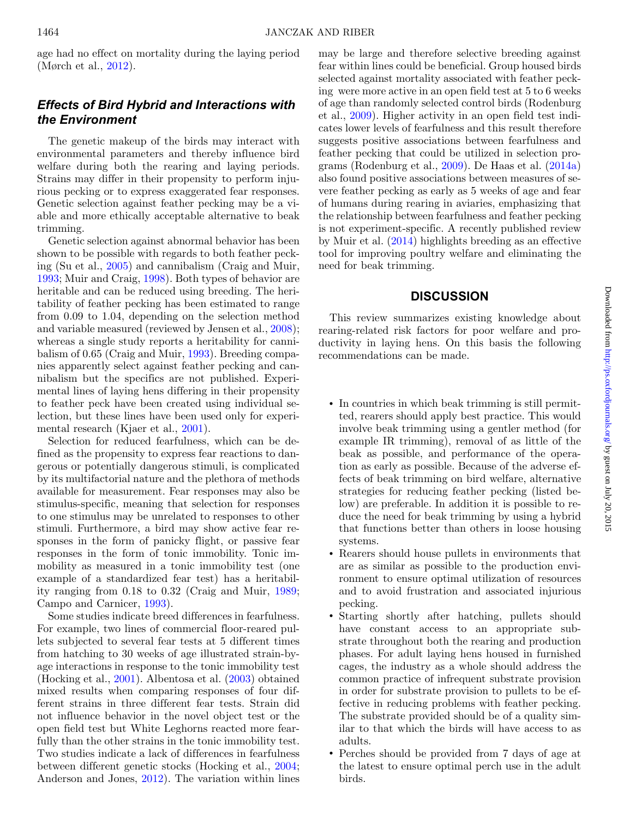age had no effect on mortality during the laying period (Mørch et al., [2012\)](#page-14-41).

## *Effects of Bird Hybrid and Interactions with the Environment*

The genetic makeup of the birds may interact with environmental parameters and thereby influence bird welfare during both the rearing and laying periods. Strains may differ in their propensity to perform injurious pecking or to express exaggerated fear responses. Genetic selection against feather pecking may be a viable and more ethically acceptable alternative to beak trimming.

Genetic selection against abnormal behavior has been shown to be possible with regards to both feather pecking (Su et al., [2005\)](#page-14-42) and cannibalism (Craig and Muir, [1993;](#page-12-45) Muir and Craig, [1998\)](#page-13-37). Both types of behavior are heritable and can be reduced using breeding. The heritability of feather pecking has been estimated to range from 0.09 to 1.04, depending on the selection method and variable measured (reviewed by Jensen et al., [2008\)](#page-13-38); whereas a single study reports a heritability for cannibalism of 0.65 (Craig and Muir, [1993\)](#page-12-45). Breeding companies apparently select against feather pecking and cannibalism but the specifics are not published. Experimental lines of laying hens differing in their propensity to feather peck have been created using individual selection, but these lines have been used only for experimental research (Kjaer et al., [2001\)](#page-13-39).

Selection for reduced fearfulness, which can be defined as the propensity to express fear reactions to dangerous or potentially dangerous stimuli, is complicated by its multifactorial nature and the plethora of methods available for measurement. Fear responses may also be stimulus-specific, meaning that selection for responses to one stimulus may be unrelated to responses to other stimuli. Furthermore, a bird may show active fear responses in the form of panicky flight, or passive fear responses in the form of tonic immobility. Tonic immobility as measured in a tonic immobility test (one example of a standardized fear test) has a heritability ranging from 0.18 to 0.32 (Craig and Muir, [1989;](#page-12-46) Campo and Carnicer, [1993\)](#page-12-47).

Some studies indicate breed differences in fearfulness. For example, two lines of commercial floor-reared pullets subjected to several fear tests at 5 different times from hatching to 30 weeks of age illustrated strain-byage interactions in response to the tonic immobility test (Hocking et al., [2001\)](#page-13-40). Albentosa et al. [\(2003\)](#page-11-16) obtained mixed results when comparing responses of four different strains in three different fear tests. Strain did not influence behavior in the novel object test or the open field test but White Leghorns reacted more fearfully than the other strains in the tonic immobility test. Two studies indicate a lack of differences in fearfulness between different genetic stocks (Hocking et al., [2004;](#page-13-41) Anderson and Jones, [2012\)](#page-11-14). The variation within lines may be large and therefore selective breeding against fear within lines could be beneficial. Group housed birds selected against mortality associated with feather pecking were more active in an open field test at 5 to 6 weeks of age than randomly selected control birds (Rodenburg et al., [2009\)](#page-14-43). Higher activity in an open field test indicates lower levels of fearfulness and this result therefore suggests positive associations between fearfulness and feather pecking that could be utilized in selection programs (Rodenburg et al., [2009\)](#page-14-43). De Haas et al. [\(2014a\)](#page-12-4) also found positive associations between measures of severe feather pecking as early as 5 weeks of age and fear of humans during rearing in aviaries, emphasizing that the relationship between fearfulness and feather pecking is not experiment-specific. A recently published review by Muir et al. [\(2014\)](#page-13-42) highlights breeding as an effective tool for improving poultry welfare and eliminating the need for beak trimming.

#### **DISCUSSION**

This review summarizes existing knowledge about rearing-related risk factors for poor welfare and productivity in laying hens. On this basis the following recommendations can be made.

- In countries in which beak trimming is still permitted, rearers should apply best practice. This would involve beak trimming using a gentler method (for example IR trimming), removal of as little of the beak as possible, and performance of the operation as early as possible. Because of the adverse effects of beak trimming on bird welfare, alternative strategies for reducing feather pecking (listed below) are preferable. In addition it is possible to reduce the need for beak trimming by using a hybrid that functions better than others in loose housing systems.
- Rearers should house pullets in environments that are as similar as possible to the production environment to ensure optimal utilization of resources and to avoid frustration and associated injurious pecking.
- Starting shortly after hatching, pullets should have constant access to an appropriate substrate throughout both the rearing and production phases. For adult laying hens housed in furnished cages, the industry as a whole should address the common practice of infrequent substrate provision in order for substrate provision to pullets to be effective in reducing problems with feather pecking. The substrate provided should be of a quality similar to that which the birds will have access to as adults.
- Perches should be provided from 7 days of age at the latest to ensure optimal perch use in the adult birds.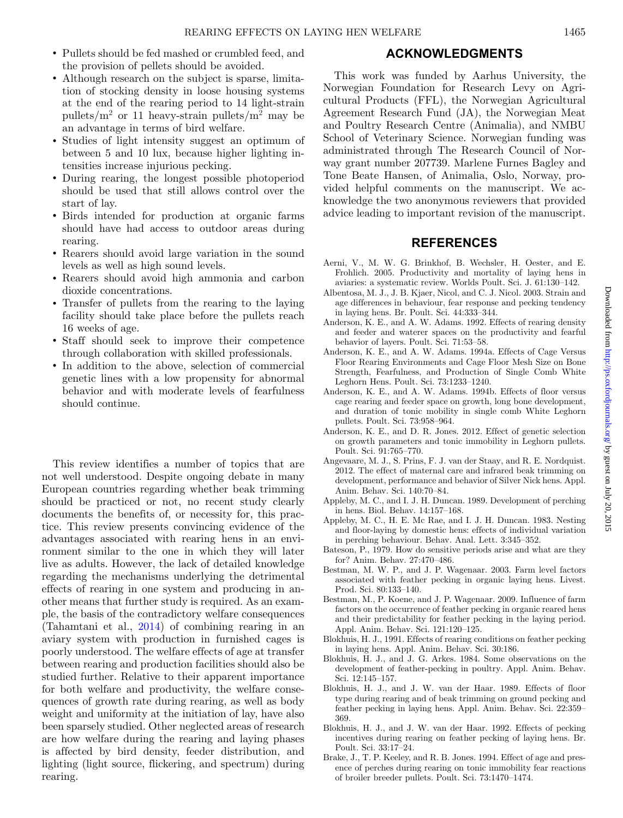- Pullets should be fed mashed or crumbled feed, and the provision of pellets should be avoided.
- Although research on the subject is sparse, limitation of stocking density in loose housing systems at the end of the rearing period to 14 light-strain pullets/ $m^2$  or 11 heavy-strain pullets/ $m^2$  may be an advantage in terms of bird welfare.
- Studies of light intensity suggest an optimum of between 5 and 10 lux, because higher lighting intensities increase injurious pecking.
- During rearing, the longest possible photoperiod should be used that still allows control over the start of lay.
- Birds intended for production at organic farms should have had access to outdoor areas during rearing.
- Rearers should avoid large variation in the sound levels as well as high sound levels.
- Rearers should avoid high ammonia and carbon dioxide concentrations.
- Transfer of pullets from the rearing to the laying facility should take place before the pullets reach 16 weeks of age.
- Staff should seek to improve their competence through collaboration with skilled professionals.
- In addition to the above, selection of commercial genetic lines with a low propensity for abnormal behavior and with moderate levels of fearfulness should continue.

This review identifies a number of topics that are not well understood. Despite ongoing debate in many European countries regarding whether beak trimming should be practiced or not, no recent study clearly documents the benefits of, or necessity for, this practice. This review presents convincing evidence of the advantages associated with rearing hens in an environment similar to the one in which they will later live as adults. However, the lack of detailed knowledge regarding the mechanisms underlying the detrimental effects of rearing in one system and producing in another means that further study is required. As an example, the basis of the contradictory welfare consequences (Tahamtani et al., [2014\)](#page-14-11) of combining rearing in an aviary system with production in furnished cages is poorly understood. The welfare effects of age at transfer between rearing and production facilities should also be studied further. Relative to their apparent importance for both welfare and productivity, the welfare consequences of growth rate during rearing, as well as body weight and uniformity at the initiation of lay, have also been sparsely studied. Other neglected areas of research are how welfare during the rearing and laying phases is affected by bird density, feeder distribution, and lighting (light source, flickering, and spectrum) during rearing.

#### **ACKNOWLEDGMENTS**

This work was funded by Aarhus University, the Norwegian Foundation for Research Levy on Agricultural Products (FFL), the Norwegian Agricultural Agreement Research Fund (JA), the Norwegian Meat and Poultry Research Centre (Animalia), and NMBU School of Veterinary Science. Norwegian funding was administrated through The Research Council of Norway grant number 207739. Marlene Furnes Bagley and Tone Beate Hansen, of Animalia, Oslo, Norway, provided helpful comments on the manuscript. We acknowledge the two anonymous reviewers that provided advice leading to important revision of the manuscript.

#### **REFERENCES**

- <span id="page-11-1"></span>Aerni, V., M. W. G. Brinkhof, B. Wechsler, H. Oester, and E. Frohlich. 2005. Productivity and mortality of laying hens in aviaries: a systematic review. Worlds Poult. Sci. J. 61:130–142.
- <span id="page-11-16"></span>Albentosa, M. J., J. B. Kjaer, Nicol, and C. J. Nicol. 2003. Strain and age differences in behaviour, fear response and pecking tendency in laying hens. Br. Poult. Sci. 44:333–344.
- <span id="page-11-15"></span>Anderson, K. E., and A. W. Adams. 1992. Effects of rearing density and feeder and waterer spaces on the productivity and fearful behavior of layers. Poult. Sci. 71:53–58.
- <span id="page-11-4"></span>Anderson, K. E., and A. W. Adams. 1994a. Effects of Cage Versus Floor Rearing Environments and Cage Floor Mesh Size on Bone Strength, Fearfulness, and Production of Single Comb White Leghorn Hens. Poult. Sci. 73:1233–1240.
- <span id="page-11-13"></span>Anderson, K. E., and A. W. Adams. 1994b. Effects of floor versus cage rearing and feeder space on growth, long bone development, and duration of tonic mobility in single comb White Leghorn pullets. Poult. Sci. 73:958–964.
- <span id="page-11-14"></span>Anderson, K. E., and D. R. Jones. 2012. Effect of genetic selection on growth parameters and tonic immobility in Leghorn pullets. Poult. Sci. 91:765–770.
- <span id="page-11-2"></span>Angevaare, M. J., S. Prins, F. J. van der Staay, and R. E. Nordquist. 2012. The effect of maternal care and infrared beak trimming on development, performance and behavior of Silver Nick hens. Appl. Anim. Behav. Sci. 140:70–84.
- <span id="page-11-8"></span>Appleby, M. C., and I. J. H. Duncan. 1989. Development of perching in hens. Biol. Behav. 14:157–168.
- <span id="page-11-7"></span>Appleby, M. C., H. E. Mc Rae, and I. J. H. Duncan. 1983. Nesting and floor-laying by domestic hens: effects of individual variation in perching behaviour. Behav. Anal. Lett. 3:345–352.
- <span id="page-11-5"></span>Bateson, P., 1979. How do sensitive periods arise and what are they for? Anim. Behav. 27:470–486.
- <span id="page-11-3"></span>Bestman, M. W. P., and J. P. Wagenaar. 2003. Farm level factors associated with feather pecking in organic laying hens. Livest. Prod. Sci. 80:133–140.
- <span id="page-11-0"></span>Bestman, M., P. Koene, and J. P. Wagenaar. 2009. Influence of farm factors on the occurrence of feather pecking in organic reared hens and their predictability for feather pecking in the laying period. Appl. Anim. Behav. Sci. 121:120–125.
- <span id="page-11-11"></span>Blokhuis, H. J., 1991. Effects of rearing conditions on feather pecking in laying hens. Appl. Anim. Behav. Sci. 30:186.
- <span id="page-11-6"></span>Blokhuis, H. J., and J. G. Arkes. 1984. Some observations on the development of feather-pecking in poultry. Appl. Anim. Behav. Sci. 12:145–157.
- <span id="page-11-10"></span>Blokhuis, H. J., and J. W. van der Haar. 1989. Effects of floor type during rearing and of beak trimming on ground pecking and feather pecking in laying hens. Appl. Anim. Behav. Sci. 22:359– 369.
- <span id="page-11-12"></span>Blokhuis, H. J., and J. W. van der Haar. 1992. Effects of pecking incentives during rearing on feather pecking of laying hens. Br. Poult. Sci. 33:17–24.
- <span id="page-11-9"></span>Brake, J., T. P. Keeley, and R. B. Jones. 1994. Effect of age and presence of perches during rearing on tonic immobility fear reactions of broiler breeder pullets. Poult. Sci. 73:1470–1474.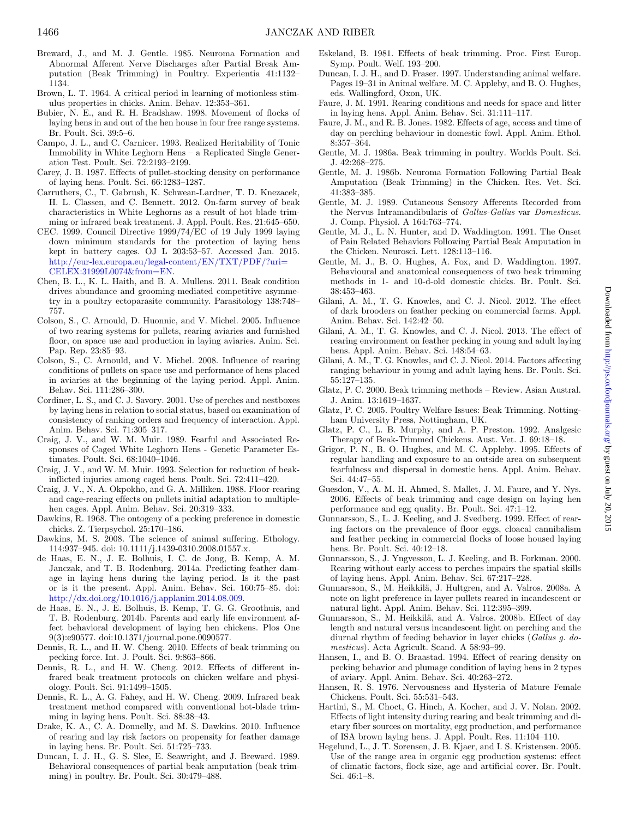- <span id="page-12-18"></span>Breward, J., and M. J. Gentle. 1985. Neuroma Formation and Abnormal Afferent Nerve Discharges after Partial Break Amputation (Beak Trimming) in Poultry. Experientia 41:1132– 1134.
- <span id="page-12-30"></span>Brown, L. T. 1964. A critical period in learning of motionless stimulus properties in chicks. Anim. Behav. 12:353–361.
- <span id="page-12-33"></span>Bubier, N. E., and R. H. Bradshaw. 1998. Movement of flocks of laying hens in and out of the hen house in four free range systems. Br. Poult. Sci. 39:5–6.
- <span id="page-12-47"></span>Campo, J. L., and C. Carnicer. 1993. Realized Heritability of Tonic Immobility in White Leghorn Hens – a Replicated Single Generation Test. Poult. Sci. 72:2193–2199.
- <span id="page-12-39"></span>Carey, J. B. 1987. Effects of pullet-stocking density on performance of laying hens. Poult. Sci. 66:1283–1287.
- <span id="page-12-21"></span>Carruthers, C., T. Gabrush, K. Schwean-Lardner, T. D. Knezacek, H. L. Classen, and C. Bennett. 2012. On-farm survey of beak characteristics in White Leghorns as a result of hot blade trimming or infrared beak treatment. J. Appl. Poult. Res. 21:645–650.
- <span id="page-12-7"></span>CEC. 1999. Council Directive 1999/74/EC of 19 July 1999 laying down minimum standards for the protection of laying hens kept in battery cages. OJ L 203:53–57. Accessed Jan. 2015. [http://eur-lex.europa.eu/legal-content/EN/TXT/PDF/?uri=](http://eur-lex.europa.eu/legal-content/EN/TXT/PDF/?uri=CELEX:31999L0074&from=EN) [CELEX:31999L0074&from=EN.](http://eur-lex.europa.eu/legal-content/EN/TXT/PDF/?uri=CELEX:31999L0074&from=EN)
- <span id="page-12-10"></span>Chen, B. L., K. L. Haith, and B. A. Mullens. 2011. Beak condition drives abundance and grooming-mediated competitive asymmetry in a poultry ectoparasite community. Parasitology 138:748– 757.
- <span id="page-12-28"></span>Colson, S., C. Arnould, D. Huonnic, and V. Michel. 2005. Influence of two rearing systems for pullets, rearing aviaries and furnished floor, on space use and production in laying aviaries. Anim. Sci. Pap. Rep. 23:85–93.
- <span id="page-12-29"></span>Colson, S., C. Arnould, and V. Michel. 2008. Influence of rearing conditions of pullets on space use and performance of hens placed in aviaries at the beginning of the laying period. Appl. Anim. Behav. Sci. 111:286–300.
- <span id="page-12-24"></span>Cordiner, L. S., and C. J. Savory. 2001. Use of perches and nestboxes by laying hens in relation to social status, based on examination of consistency of ranking orders and frequency of interaction. Appl. Anim. Behav. Sci. 71:305–317.
- <span id="page-12-46"></span>Craig, J. V., and W. M. Muir. 1989. Fearful and Associated Responses of Caged White Leghorn Hens - Genetic Parameter Estimates. Poult. Sci. 68:1040–1046.
- <span id="page-12-45"></span>Craig, J. V., and W. M. Muir. 1993. Selection for reduction of beakinflicted injuries among caged hens. Poult. Sci. 72:411–420.
- <span id="page-12-26"></span>Craig, J. V., N. A. Okpokho, and G. A. Milliken. 1988. Floor-rearing and cage-rearing effects on pullets initial adaptation to multiplehen cages. Appl. Anim. Behav. Sci. 20:319–333.
- <span id="page-12-2"></span>Dawkins, R. 1968. The ontogeny of a pecking preference in domestic chicks. Z. Tierpsychol. 25:170–186.
- <span id="page-12-0"></span>Dawkins, M. S. 2008. The science of animal suffering. Ethology. 114:937–945. doi: 10.1111/j.1439-0310.2008.01557.x.
- <span id="page-12-4"></span>de Haas, E. N., J. E. Bolhuis, I. C. de Jong, B. Kemp, A. M. Janczak, and T. B. Rodenburg. 2014a. Predicting feather damage in laying hens during the laying period. Is it the past or is it the present. Appl. Anim. Behav. Sci. 160:75–85. doi: [http://dx.doi.org/10.1016/j.applanim.2014.08.009.](http://dx.doi.org/10.1016/j.applanim.2014.08.009)
- <span id="page-12-31"></span>de Haas, E. N., J. E. Bolhuis, B. Kemp, T. G. G. Groothuis, and T. B. Rodenburg. 2014b. Parents and early life environment affect behavioral development of laying hen chickens. Plos One 9(3):e90577. doi:10.1371/journal.pone.0090577.
- <span id="page-12-15"></span>Dennis, R. L., and H. W. Cheng. 2010. Effects of beak trimming on pecking force. Int. J. Poult. Sci. 9:863–866.
- <span id="page-12-13"></span>Dennis, R. L., and H. W. Cheng. 2012. Effects of different infrared beak treatment protocols on chicken welfare and physiology. Poult. Sci. 91:1499–1505.
- <span id="page-12-20"></span>Dennis, R. L., A. G. Fahey, and H. W. Cheng. 2009. Infrared beak treatment method compared with conventional hot-blade trimming in laying hens. Poult. Sci. 88:38–43.
- <span id="page-12-5"></span>Drake, K. A., C. A. Donnelly, and M. S. Dawkins. 2010. Influence of rearing and lay risk factors on propensity for feather damage in laying hens. Br. Poult. Sci. 51:725–733.
- <span id="page-12-16"></span>Duncan, I. J. H., G. S. Slee, E. Seawright, and J. Breward. 1989. Behavioral consequences of partial beak amputation (beak trimming) in poultry. Br. Poult. Sci. 30:479–488.
- <span id="page-12-17"></span>Eskeland, B. 1981. Effects of beak trimming. Proc. First Europ. Symp. Poult. Welf. 193–200.
- <span id="page-12-1"></span>Duncan, I. J. H., and D. Fraser. 1997. Understanding animal welfare. Pages 19–31 in Animal welfare. M. C. Appleby, and B. O. Hughes, eds. Wallingford, Oxon, UK.
- <span id="page-12-25"></span>Faure, J. M. 1991. Rearing conditions and needs for space and litter in laying hens. Appl. Anim. Behav. Sci. 31:111–117.
- <span id="page-12-32"></span>Faure, J. M., and R. B. Jones. 1982. Effects of age, access and time of day on perching behaviour in domestic fowl. Appl. Anim. Ethol. 8:357–364.
- <span id="page-12-6"></span>Gentle, M. J. 1986a. Beak trimming in poultry. Worlds Poult. Sci. J. 42:268–275.
- <span id="page-12-19"></span>Gentle, M. J. 1986b. Neuroma Formation Following Partial Beak Amputation (Beak Trimming) in the Chicken. Res. Vet. Sci. 41:383–385.
- <span id="page-12-9"></span>Gentle, M. J. 1989. Cutaneous Sensory Afferents Recorded from the Nervus Intramandibularis of *Gallus-Gallus* var *Domesticus*. J. Comp. Physiol. A 164:763–774.
- <span id="page-12-11"></span>Gentle, M. J., L. N. Hunter, and D. Waddington. 1991. The Onset of Pain Related Behaviors Following Partial Beak Amputation in the Chicken. Neurosci. Lett. 128:113–116.
- <span id="page-12-14"></span>Gentle, M. J., B. O. Hughes, A. Fox, and D. Waddington. 1997. Behavioural and anatomical consequences of two beak trimming methods in 1- and 10-d-old domestic chicks. Br. Poult. Sci. 38:453–463.
- <span id="page-12-37"></span>Gilani, A. M., T. G. Knowles, and C. J. Nicol. 2012. The effect of dark brooders on feather pecking on commercial farms. Appl. Anim. Behav. Sci. 142:42–50.
- <span id="page-12-3"></span>Gilani, A. M., T. G. Knowles, and C. J. Nicol. 2013. The effect of rearing environment on feather pecking in young and adult laying hens. Appl. Anim. Behav. Sci. 148:54–63.
- <span id="page-12-38"></span>Gilani, A. M., T. G. Knowles, and C. J. Nicol. 2014. Factors affecting ranging behaviour in young and adult laying hens. Br. Poult. Sci. 55:127–135.
- <span id="page-12-36"></span>Glatz, P. C. 2000. Beak trimming methods – Review. Asian Austral. J. Anim. 13:1619–1637.
- <span id="page-12-44"></span>Glatz, P. C. 2005. Poultry Welfare Issues: Beak Trimming. Nottingham University Press, Nottingham, UK.
- <span id="page-12-12"></span>Glatz, P. C., L. B. Murphy, and A. P. Preston. 1992. Analgesic Therapy of Beak-Trimmed Chickens. Aust. Vet. J. 69:18–18.
- <span id="page-12-35"></span>Grigor, P. N., B. O. Hughes, and M. C. Appleby. 1995. Effects of regular handling and exposure to an outside area on subsequent fearfulness and dispersal in domestic hens. Appl. Anim. Behav. Sci. 44:47–55.
- <span id="page-12-8"></span>Guesdon, V., A. M. H. Ahmed, S. Mallet, J. M. Faure, and Y. Nys. 2006. Effects of beak trimming and cage design on laying hen performance and egg quality. Br. Poult. Sci. 47:1–12.
- <span id="page-12-23"></span>Gunnarsson, S., L. J. Keeling, and J. Svedberg. 1999. Effect of rearing factors on the prevalence of floor eggs, cloacal cannibalism and feather pecking in commercial flocks of loose housed laying hens. Br. Poult. Sci. 40:12–18.
- <span id="page-12-22"></span>Gunnarsson, S., J. Yngvesson, L. J. Keeling, and B. Forkman. 2000. Rearing without early access to perches impairs the spatial skills of laying hens. Appl. Anim. Behav. Sci. 67:217–228.
- <span id="page-12-42"></span>Gunnarsson, S., M. Heikkilä, J. Hultgren, and A. Valros, 2008a. A note on light preference in layer pullets reared in incandescent or natural light. Appl. Anim. Behav. Sci. 112:395–399.
- <span id="page-12-43"></span>Gunnarsson, S., M. Heikkilä, and A. Valros. 2008b. Effect of day length and natural versus incandescent light on perching and the diurnal rhythm of feeding behavior in layer chicks (*Gallus g. domesticus*). Acta Agricult. Scand. A 58:93–99.
- <span id="page-12-40"></span>Hansen, I., and B. O. Braastad. 1994. Effect of rearing density on pecking behavior and plumage condition of laying hens in 2 types of aviary. Appl. Anim. Behav. Sci. 40:263–272.
- <span id="page-12-27"></span>Hansen, R. S. 1976. Nervousness and Hysteria of Mature Female Chickens. Poult. Sci. 55:531–543.
- <span id="page-12-41"></span>Hartini, S., M. Choct, G. Hinch, A. Kocher, and J. V. Nolan. 2002. Effects of light intensity during rearing and beak trimming and dietary fiber sources on mortality, egg production, and performance of ISA brown laying hens. J. Appl. Poult. Res. 11:104–110.
- <span id="page-12-34"></span>Hegelund, L., J. T. Sorensen, J. B. Kjaer, and I. S. Kristensen. 2005. Use of the range area in organic egg production systems: effect of climatic factors, flock size, age and artificial cover. Br. Poult. Sci. 46:1–8.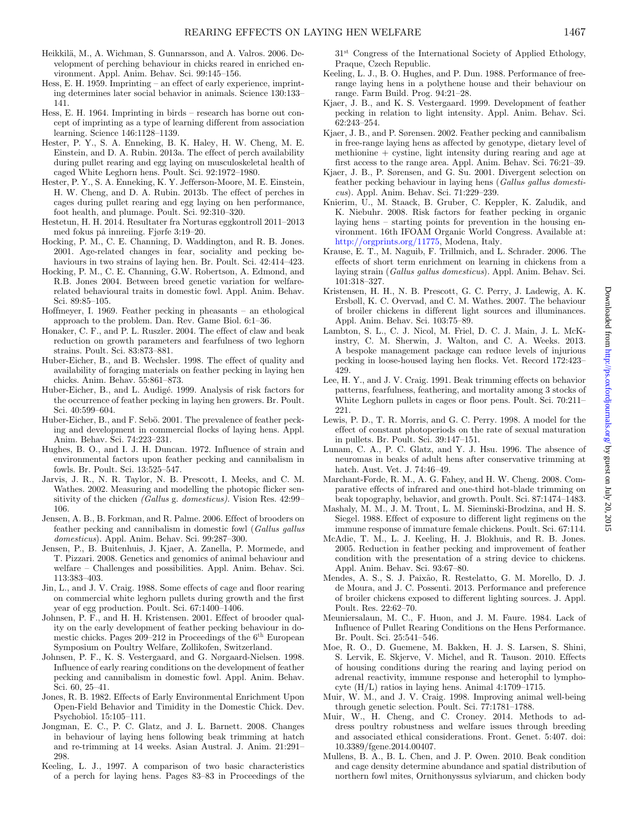- <span id="page-13-16"></span>Heikkilä, M., A. Wichman, S. Gunnarsson, and A. Valros. 2006. Development of perching behaviour in chicks reared in enriched environment. Appl. Anim. Behav. Sci. 99:145–156.
- <span id="page-13-0"></span>Hess, E. H. 1959. Imprinting – an effect of early experience, imprinting determines later social behavior in animals. Science 130:133– 141.
- <span id="page-13-1"></span>Hess, E. H. 1964. Imprinting in birds – research has borne out concept of imprinting as a type of learning different from association learning. Science 146:1128–1139.
- <span id="page-13-19"></span>Hester, P. Y., S. A. Enneking, B. K. Haley, H. W. Cheng, M. E. Einstein, and D. A. Rubin. 2013a. The effect of perch availability during pullet rearing and egg laying on musculoskeletal health of caged White Leghorn hens. Poult. Sci. 92:1972–1980.
- <span id="page-13-20"></span>Hester, P. Y., S. A. Enneking, K. Y. Jefferson-Moore, M. E. Einstein, H. W. Cheng, and D. A. Rubin. 2013b. The effect of perches in cages during pullet rearing and egg laying on hen performance, foot health, and plumage. Poult. Sci. 92:310–320.
- <span id="page-13-5"></span>Hestetun, H. H. 2014. Resultater fra Norturas eggkontroll 2011–2013 med fokus på innreiing. Fjørfe 3:19–20.
- <span id="page-13-40"></span>Hocking, P. M., C. E. Channing, D. Waddington, and R. B. Jones. 2001. Age-related changes in fear, sociality and pecking behaviours in two strains of laying hen. Br. Poult. Sci. 42:414–423.
- <span id="page-13-41"></span>Hocking, P. M., C. E. Channing, G.W. Robertson, A. Edmond, and R.B. Jones 2004. Between breed genetic variation for welfarerelated behavioural traits in domestic fowl. Appl. Anim. Behav. Sci. 89:85–105.
- <span id="page-13-14"></span>Hoffmeyer, I. 1969. Feather pecking in pheasants – an ethological approach to the problem. Dan. Rev. Game Biol. 6:1–36.
- <span id="page-13-10"></span>Honaker, C. F., and P. L. Ruszler. 2004. The effect of claw and beak reduction on growth parameters and fearfulness of two leghorn strains. Poult. Sci. 83:873–881.
- <span id="page-13-21"></span>Huber-Eicher, B., and B. Wechsler. 1998. The effect of quality and availability of foraging materials on feather pecking in laying hen chicks. Anim. Behav. 55:861–873.
- <span id="page-13-17"></span>Huber-Eicher, B., and L. Audigé. 1999. Analysis of risk factors for the occurrence of feather pecking in laying hen growers. Br. Poult. Sci. 40:599–604.
- <span id="page-13-22"></span>Huber-Eicher, B., and F. Sebö. 2001. The prevalence of feather pecking and development in commercial flocks of laying hens. Appl. Anim. Behav. Sci. 74:223–231.
- <span id="page-13-29"></span>Hughes, B. O., and I. J. H. Duncan. 1972. Influence of strain and environmental factors upon feather pecking and cannibalism in fowls. Br. Poult. Sci. 13:525–547.
- <span id="page-13-34"></span>Jarvis, J. R., N. R. Taylor, N. B. Prescott, I. Meeks, and C. M. Wathes. 2002. Measuring and modelling the photopic flicker sensitivity of the chicken *(Gallus* g. *domesticus)*. Vision Res. 42:99– 106.
- <span id="page-13-27"></span>Jensen, A. B., B. Forkman, and R. Palme. 2006. Effect of brooders on feather pecking and cannibalism in domestic fowl (*Gallus gallus domesticus*). Appl. Anim. Behav. Sci. 99:287–300.
- <span id="page-13-38"></span>Jensen, P., B. Buitenhuis, J. Kjaer, A. Zanella, P. Mormede, and T. Pizzari. 2008. Genetics and genomics of animal behaviour and welfare – Challenges and possibilities. Appl. Anim. Behav. Sci. 113:383–403.
- <span id="page-13-11"></span>Jin, L., and J. V. Craig. 1988. Some effects of cage and floor rearing on commercial white leghorn pullets during growth and the first year of egg production. Poult. Sci. 67:1400–1406.
- <span id="page-13-26"></span>Johnsen, P. F., and H. H. Kristensen. 2001. Effect of brooder quality on the early development of feather pecking behaviour in domestic chicks. Pages  $209-212$  in Proceedings of the  $6<sup>th</sup>$  European Symposium on Poultry Welfare, Zollikofen, Switzerland.
- <span id="page-13-13"></span>Johnsen, P. F., K. S. Vestergaard, and G. Nørgaard-Nielsen. 1998. Influence of early rearing conditions on the development of feather pecking and cannibalism in domestic fowl. Appl. Anim. Behav. Sci. 60, 25–41.
- <span id="page-13-15"></span>Jones, R. B. 1982. Effects of Early Environmental Enrichment Upon Open-Field Behavior and Timidity in the Domestic Chick. Dev. Psychobiol. 15:105–111.
- <span id="page-13-8"></span>Jongman, E. C., P. C. Glatz, and J. L. Barnett. 2008. Changes in behaviour of laying hens following beak trimming at hatch and re-trimming at 14 weeks. Asian Austral. J. Anim. 21:291– 298.
- <span id="page-13-18"></span>Keeling, L. J., 1997. A comparison of two basic characteristics of a perch for laying hens. Pages 83–83 in Proceedings of the

 $31<sup>st</sup>$  Congress of the International Society of Applied Ethology, Praque, Czech Republic.

- <span id="page-13-23"></span>Keeling, L. J., B. O. Hughes, and P. Dun. 1988. Performance of freerange laying hens in a polythene house and their behaviour on range. Farm Build. Prog. 94:21–28.
- <span id="page-13-30"></span>Kjaer, J. B., and K. S. Vestergaard. 1999. Development of feather pecking in relation to light intensity. Appl. Anim. Behav. Sci. 62:243–254.
- <span id="page-13-31"></span>Kjaer, J. B., and P. Sørensen. 2002. Feather pecking and cannibalism in free-range laying hens as affected by genotype, dietary level of methionine + cystine, light intensity during rearing and age at first access to the range area. Appl. Anim. Behav. Sci. 76:21–39.
- <span id="page-13-39"></span>Kjaer, J. B., P. Sørensen, and G. Su. 2001. Divergent selection on feather pecking behaviour in laying hens (*Gallus gallus domesticus*). Appl. Anim. Behav. Sci. 71:229–239.
- <span id="page-13-2"></span>Knierim, U., M. Staack, B. Gruber, C. Keppler, K. Zaludik, and K. Niebuhr. 2008. Risk factors for feather pecking in organic laying hens – starting points for prevention in the housing environment. 16th IFOAM Organic World Congress. Available at: [http://orgprints.org/11775,](http://orgprints.org/11775) Modena, Italy.
- <span id="page-13-24"></span>Krause, E. T., M. Naguib, F. Trillmich, and L. Schrader. 2006. The effects of short term enrichment on learning in chickens from a laying strain (*Gallus gallus domesticus*). Appl. Anim. Behav. Sci. 101:318–327.
- <span id="page-13-35"></span>Kristensen, H. H., N. B. Prescott, G. C. Perry, J. Ladewig, A. K. Ersbøll, K. C. Overvad, and C. M. Wathes. 2007. The behaviour of broiler chickens in different light sources and illuminances. Appl. Anim. Behav. Sci. 103:75–89.
- <span id="page-13-4"></span>Lambton, S. L., C. J. Nicol, M. Friel, D. C. J. Main, J. L. McKinstry, C. M. Sherwin, J. Walton, and C. A. Weeks. 2013. A bespoke management package can reduce levels of injurious pecking in loose-housed laying hen flocks. Vet. Record 172:423– 429.
- <span id="page-13-3"></span>Lee, H. Y., and J. V. Craig. 1991. Beak trimming effects on behavior patterns, fearfulness, feathering, and mortality among 3 stocks of White Leghorn pullets in cages or floor pens. Poult. Sci. 70:211– 221.
- <span id="page-13-32"></span>Lewis, P. D., T. R. Morris, and G. C. Perry. 1998. A model for the effect of constant photoperiods on the rate of sexual maturation in pullets. Br. Poult. Sci. 39:147–151.
- <span id="page-13-9"></span>Lunam, C. A., P. C. Glatz, and Y. J. Hsu. 1996. The absence of neuromas in beaks of adult hens after conservative trimming at hatch. Aust. Vet. J. 74:46–49.
- <span id="page-13-7"></span>Marchant-Forde, R. M., A. G. Fahey, and H. W. Cheng. 2008. Comparative effects of infrared and one-third hot-blade trimming on beak topography, behavior, and growth. Poult. Sci. 87:1474–1483.
- <span id="page-13-33"></span>Mashaly, M. M., J. M. Trout, L. M. Sieminski-Brodzina, and H. S. Siegel. 1988. Effect of exposure to different light regimens on the immune response of immature female chickens. Poult. Sci. 67:114.
- <span id="page-13-25"></span>McAdie, T. M., L. J. Keeling, H. J. Blokhuis, and R. B. Jones. 2005. Reduction in feather pecking and improvement of feather condition with the presentation of a string device to chickens. Appl. Anim. Behav. Sci. 93:67–80.
- <span id="page-13-36"></span>Mendes, A. S., S. J. Paixão, R. Restelatto, G. M. Morello, D. J. de Moura, and J. C. Possenti. 2013. Performance and preference of broiler chickens exposed to different lighting sources. J. Appl. Poult. Res. 22:62–70.
- <span id="page-13-28"></span>Meuniersalaun, M. C., F. Huon, and J. M. Faure. 1984. Lack of Influence of Pullet Rearing Conditions on the Hens Performance. Br. Poult. Sci. 25:541–546.
- <span id="page-13-12"></span>Moe, R. O., D. Guemene, M. Bakken, H. J. S. Larsen, S. Shini, S. Lervik, E. Skjerve, V. Michel, and R. Tauson. 2010. Effects of housing conditions during the rearing and laying period on adrenal reactivity, immune response and heterophil to lymphocyte (H/L) ratios in laying hens. Animal 4:1709–1715.
- <span id="page-13-37"></span>Muir, W. M., and J. V. Craig. 1998. Improving animal well-being through genetic selection. Poult. Sci. 77:1781–1788.
- <span id="page-13-42"></span>Muir, W., H. Cheng, and C. Croney. 2014. Methods to address poultry robustness and welfare issues through breeding and associated ethical considerations. Front. Genet. 5:407. doi: 10.3389/fgene.2014.00407.
- <span id="page-13-6"></span>Mullens, B. A., B. L. Chen, and J. P. Owen. 2010. Beak condition and cage density determine abundance and spatial distribution of northern fowl mites, Ornithonyssus sylviarum, and chicken body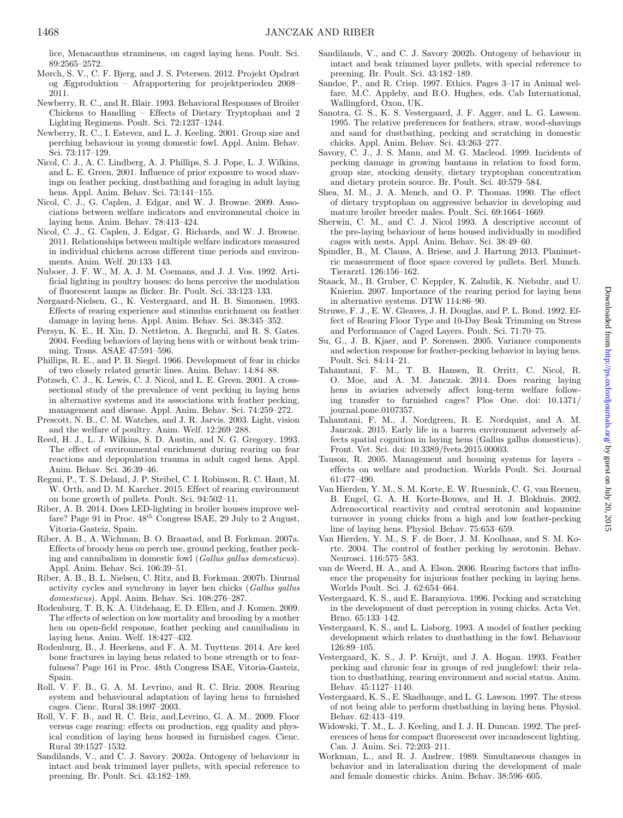lice, Menacanthus stramineus, on caged laying hens. Poult. Sci. 89:2565–2572.

- <span id="page-14-41"></span>Mørch, S. V., C. F. Bjerg, and J. S. Petersen. 2012. Projekt Opdræt og Ægproduktion – Afrapportering for projektperioden 2008– 2011.
- <span id="page-14-35"></span>Newberry, R. C., and R. Blair. 1993. Behavioral Responses of Broiler Chickens to Handling – Effects of Dietary Tryptophan and 2 Lighting Regimens. Poult. Sci. 72:1237–1244.
- <span id="page-14-24"></span>Newberry, R. C., I. Estevez, and L. J. Keeling. 2001. Group size and perching behaviour in young domestic fowl. Appl. Anim. Behav. Sci. 73:117–129.
- <span id="page-14-28"></span>Nicol, C. J., A. C. Lindberg, A. J. Phillips, S. J. Pope, L. J. Wilkins, and L. E. Green. 2001. Influence of prior exposure to wood shavings on feather pecking, dustbathing and foraging in adult laying hens. Appl. Anim. Behav. Sci. 73:141–155.
- <span id="page-14-12"></span>Nicol, C. J., G. Caplen, J. Edgar, and W. J. Browne. 2009. Associations between welfare indicators and environmental choice in laying hens. Anim. Behav. 78:413–424.
- <span id="page-14-13"></span>Nicol, C. J., G. Caplen, J. Edgar, G. Richards, and W. J. Browne. 2011. Relationships between multiple welfare indicators measured in individual chickens across different time periods and environments. Anim. Welf. 20:133–143.
- <span id="page-14-37"></span>Nuboer, J. F. W., M. A. J. M. Coemans, and J. J. Vos. 1992. Artificial lighting in poultry houses: do hens perceive the modulation of fluorescent lamps as flicker. Br. Poult. Sci. 33:123–133.
- <span id="page-14-27"></span>Nørgaard-Nielsen, G., K. Vestergaard, and H. B. Simonsen. 1993. Effects of rearing experience and stimulus enrichment on feather damage in laying hens. Appl. Anim. Behav. Sci. 38:345–352.
- <span id="page-14-6"></span>Persyn, K. E., H. Xin, D. Nettleton, A. Ikeguchi, and R. S. Gates. 2004. Feeding behaviors of laying hens with or without beak trimming. Trans. ASAE 47:591–596.
- <span id="page-14-1"></span>Phillips, R. E., and P. B. Siegel. 1966. Development of fear in chicks of two closely related genetic lines. Anim. Behav. 14:84–88.
- <span id="page-14-36"></span>Potzsch, C. J., K. Lewis, C. J. Nicol, and L. E. Green. 2001. A crosssectional study of the prevalence of vent pecking in laying hens in alternative systems and its associations with feather pecking, management and disease. Appl. Anim. Behav. Sci. 74:259–272.
- <span id="page-14-38"></span>Prescott, N. B., C. M. Watches, and J. R. Jarvis. 2003. Light, vision and the welfare of poultry. Anim. Welf. 12:269–288.
- <span id="page-14-23"></span>Reed, H. J., L. J. Wilkins, S. D. Austin, and N. G. Gregory. 1993. The effect of environmental enrichment during rearing on fear reactions and depopulation trauma in adult caged hens. Appl. Anim. Behav. Sci. 36:39–46.
- <span id="page-14-18"></span>Regmi, P., T. S. Deland, J. P. Steibel, C. I. Robinson, R. C. Haut, M. W. Orth, and D. M. Karcher. 2015. Effect of rearing environment on bone growth of pullets. Poult. Sci. 94:502–11.
- <span id="page-14-40"></span>Riber, A. B. 2014. Does LED-lighting in broiler houses improve welfare? Page 91 in Proc.  $48^{\text{th}}$  Congress ISAE, 29 July to 2 August, Vitoria-Gasteiz, Spain.
- <span id="page-14-3"></span>Riber, A. B., A. Wichman, B. O. Braastad, and B. Forkman. 2007a. Effects of broody hens on perch use, ground pecking, feather pecking and cannibalism in domestic fowl (*Gallus gallus domesticus*). Appl. Anim. Behav. Sci. 106:39–51.
- <span id="page-14-29"></span>Riber, A. B., B. L. Nielsen, C. Ritz, and B. Forkman. 2007b. Diurnal activity cycles and synchrony in layer hen chicks (*Gallus gallus domesticus*). Appl. Anim. Behav. Sci. 108:276–287.
- <span id="page-14-43"></span>Rodenburg, T. B, K. A. Uitdehaag, E. D. Ellen, and J. Komen. 2009. The effects of selection on low mortality and brooding by a mother hen on open-field response, feather pecking and cannibalism in laying hens. Anim. Welf. 18:427–432.
- <span id="page-14-25"></span>Rodenburg, B., J. Heerkens, and F. A. M. Tuyttens. 2014. Are keel bone fractures in laying hens related to bone strength or to fearfulness? Page 161 in Proc. 48th Congress ISAE, Vitoria-Gasteiz, Spain.
- <span id="page-14-15"></span>Roll, V. F. B., G. A. M. Levrino, and R. C. Briz. 2008. Rearing system and behavioural adaptation of laying hens to furnished cages. Cienc. Rural 38:1997–2003.
- <span id="page-14-14"></span>Roll, V. F. B., and R. C. Briz, and,Levrino, G. A. M.. 2009. Floor versus cage rearing: effects on production, egg quality and physical condition of laying hens housed in furnished cages. Cienc. Rural 39:1527–1532.
- <span id="page-14-5"></span>Sandilands, V., and C. J. Savory. 2002a. Ontogeny of behaviour in intact and beak trimmed layer pullets, with special reference to preening. Br. Poult. Sci. 43:182–189.
- <span id="page-14-7"></span>Sandilands, V., and C. J. Savory 2002b. Ontogeny of behaviour in intact and beak trimmed layer pullets, with special reference to preening. Br. Poult. Sci. 43:182–189.
- <span id="page-14-0"></span>Sandøe, P., and R. Crisp. 1997. Ethics. Pages 3–17 in Animal welfare, M.C. Appleby, and B.O. Hughes, eds. Cab International, Wallingford, Oxon, UK.
- <span id="page-14-21"></span>Sanotra, G. S., K. S. Vestergaard, J. F. Agger, and L. G. Lawson. 1995. The relative preferences for feathers, straw, wood-shavings and sand for dustbathing, pecking and scratching in domestic chicks. Appl. Anim. Behav. Sci. 43:263–277.
- <span id="page-14-30"></span>Savory, C. J., J. S. Mann, and M. G. Macleod. 1999. Incidents of pecking damage in growing bantams in relation to food form, group size, stocking density, dietary tryptophan concentration and dietary protein source. Br. Poult. Sci. 40:579–584.
- <span id="page-14-34"></span>Shea, M. M., J. A. Mench, and O. P. Thomas. 1990. The effect of dietary tryptophan on aggressive behavior in developing and mature broiler breeder males. Poult. Sci. 69:1664–1669.
- <span id="page-14-8"></span>Sherwin, C. M., and C. J. Nicol 1993. A descriptive account of the pre-laying behaviour of hens housed individually in modified cages with nests. Appl. Anim. Behav. Sci. 38:49–60.
- <span id="page-14-31"></span>Spindler, B., M. Clauss, A. Briese, and J. Hartung 2013. Planimetric measurement of floor space covered by pullets. Berl. Munch. Tierarztl. 126:156–162.
- <span id="page-14-4"></span>Staack, M., B. Gruber, C. Keppler, K. Zaludik, K. Niebuhr, and U. Knierim. 2007. Importance of the rearing period for laying hens in alternative systems. DTW 114:86–90.
- <span id="page-14-16"></span>Struwe, F. J., E. W. Gleaves, J. H. Douglas, and P. L. Bond. 1992. Effect of Rearing Floor Type and 10-Day Beak Trimming on Stress and Performance of Caged Layers. Poult. Sci. 71:70–75.
- <span id="page-14-42"></span>Su, G., J. B. Kjaer, and P. Sorensen. 2005. Variance components and selection response for feather-pecking behavior in laying hens. Poult. Sci. 84:14–21.
- <span id="page-14-11"></span>Tahamtani, F. M., T. B. Hansen, R. Orritt, C. Nicol, R. O. Moe, and A. M. Janczak. 2014. Does rearing laying hens in aviaries adversely affect long-term welfare following transfer to furnished cages? Plos One. doi: 10.1371/ journal.pone.0107357.
- <span id="page-14-17"></span>Tahamtani, F. M., J. Nordgreen, R. E. Nordquist, and A. M. Janczak. 2015. Early life in a barren environment adversely affects spatial cognition in laying hens (Gallus gallus domesticus). Front. Vet. Sci. doi: 10.3389/fvets.2015.00003.
- <span id="page-14-10"></span>Tauson, R. 2005. Management and housing systems for layers effects on welfare and production. Worlds Poult. Sci. Journal 61:477–490.
- <span id="page-14-32"></span>Van Hierden, Y. M., S. M. Korte, E. W. Ruesnink, C. G. van Reenen, B. Engel, G. A. H. Korte-Bouws, and H. J. Blokhuis. 2002. Adrenocortical reactivity and central serotonin and kopamine turnover in young chicks from a high and low feather-pecking line of laying hens. Physiol. Behav. 75:653–659.
- <span id="page-14-33"></span>Van Hierden, Y. M., S. F. de Boer, J. M. Koolhaas, and S. M. Korte. 2004. The control of feather pecking by serotonin. Behav. Neurosci. 116:575–583.
- <span id="page-14-9"></span>van de Weerd, H. A., and A. Elson. 2006. Rearing factors that influence the propensity for injurious feather pecking in laying hens. Worlds Poult. Sci. J. 62:654–664.
- <span id="page-14-22"></span>Vestergaard, K. S., and E. Baranyiova. 1996. Pecking and scratching in the development of dust perception in young chicks. Acta Vet. Brno. 65:133–142.
- <span id="page-14-20"></span>Vestergaard, K. S., and L. Lisborg. 1993. A model of feather pecking development which relates to dustbathing in the fowl. Behaviour 126:89–105.
- <span id="page-14-19"></span>Vestergaard, K. S., J. P. Kruijt, and J. A. Hogan. 1993. Feather pecking and chronic fear in groups of red junglefowl: their relation to dustbathing, rearing environment and social status. Anim. Behav. 45:1127–1140.
- <span id="page-14-26"></span>Vestergaard, K. S., E. Skadhauge, and L. G. Lawson. 1997. The stress of not being able to perform dustbathing in laying hens. Physiol. Behav. 62:413–419.
- <span id="page-14-39"></span>Widowski, T. M., L. J. Keeling, and I. J. H. Duncan. 1992. The preferences of hens for compact fluorescent over incandescent lighting. Can. J. Anim. Sci. 72:203–211.
- <span id="page-14-2"></span>Workman, L., and R. J. Andrew. 1989. Simultaneous changes in behavior and in lateralization during the development of male and female domestic chicks. Anim. Behav. 38:596–605.